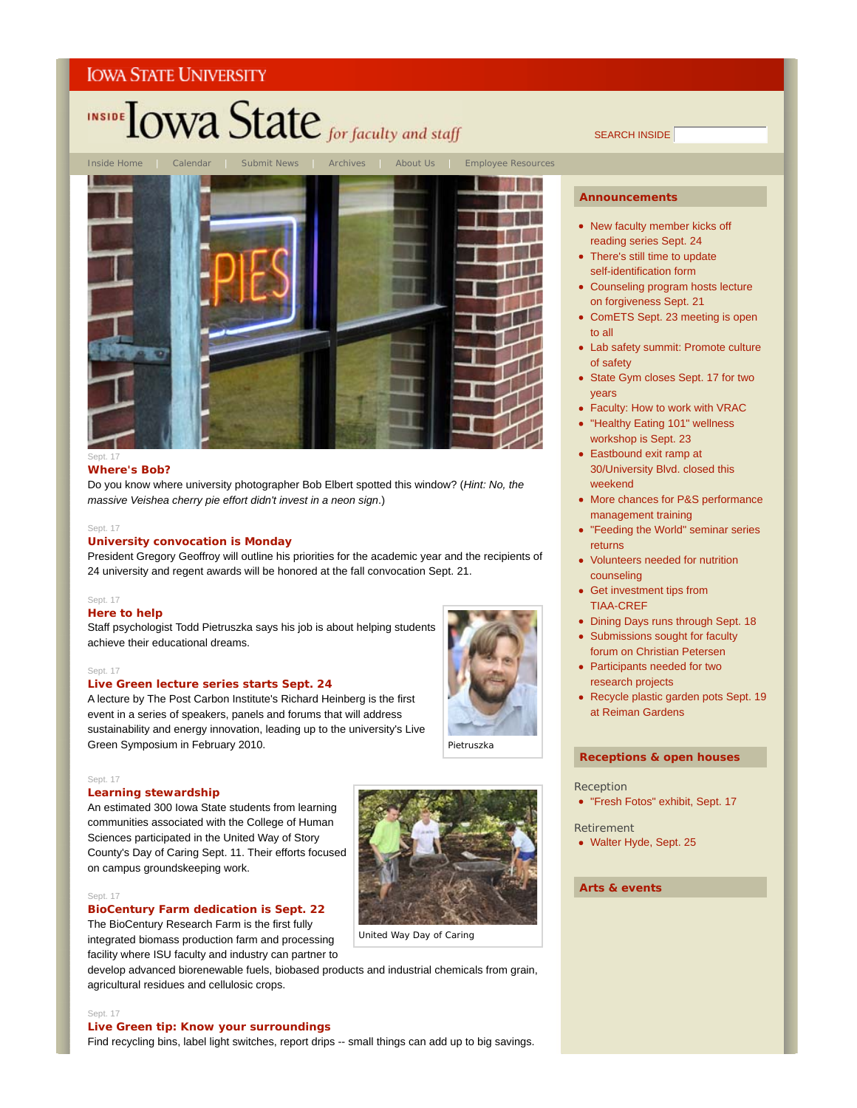# INSIDE TOWA State for faculty and staff



#### Sept. 17

#### **Where's Bob?**

Do you know where university photographer Bob Elbert spotted this window? (*Hint: No, the massive Veishea cherry pie effort didn't invest in a neon sign*.)

#### Sept. 17

#### **University convocation is Monday**

President Gregory Geoffroy will outline his priorities for the academic year and the recipients of 24 university and regent awards will be honored at the fall convocation Sept. 21.

#### Sept. 17

#### **Here to help**

Staff psychologist Todd Pietruszka says his job is about helping students achieve their educational dreams.

#### Sept. 17

#### **Live Green lecture series starts Sept. 24**

A lecture by The Post Carbon Institute's Richard Heinberg is the first event in a series of speakers, panels and forums that will address sustainability and energy innovation, leading up to the university's Live Green Symposium in February 2010.

#### Sept. 17

#### **Learning stewardship**

An estimated 300 Iowa State students from learning communities associated with the College of Human Sciences participated in the United Way of Story County's Day of Caring Sept. 11. Their efforts focused on campus groundskeeping work.

#### Sept. 17

#### **BioCentury Farm dedication is Sept. 22**

The BioCentury Research Farm is the first fully integrated biomass production farm and processing facility where ISU faculty and industry can partner to

develop advanced biorenewable fuels, biobased products and industrial chemicals from grain, agricultural residues and cellulosic crops.

#### Sept. 17

#### **Live Green tip: Know your surroundings**

Find recycling bins, label light switches, report drips -- small things can add up to big savings.

SEARCH INSIDE

#### **Announcements**

- New faculty member kicks off reading series Sept. 24
- There's still time to update self-identification form
- Counseling program hosts lecture on forgiveness Sept. 21
- ComETS Sept. 23 meeting is open to all
- Lab safety summit: Promote culture of safety
- State Gym closes Sept. 17 for two years
- Faculty: How to work with VRAC
- "Healthy Eating 101" wellness workshop is Sept. 23
- Eastbound exit ramp at 30/University Blvd. closed this weekend
- More chances for P&S performance management training
- "Feeding the World" seminar series returns
- Volunteers needed for nutrition counseling
- Get investment tips from TIAA-CREF
- Dining Days runs through Sept. 18
- Submissions sought for faculty forum on Christian Petersen
- Participants needed for two research projects
- Recycle plastic garden pots Sept. 19 at Reiman Gardens

#### **Receptions & open houses**

#### Reception

- "Fresh Fotos" exhibit, Sept. 17
- Retirement
- Walter Hyde, Sept. 25

#### **Arts & events**



United Way Day of Caring

Pietruszka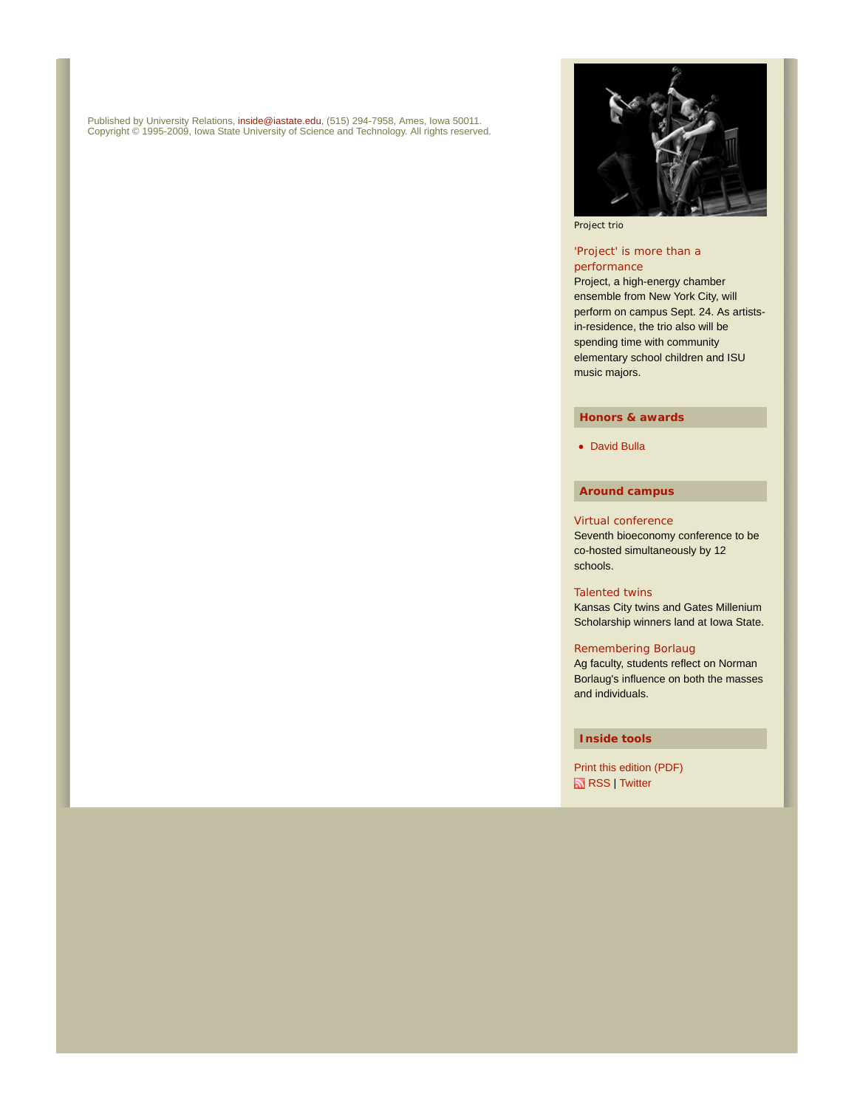Published by University Relations, inside@iastate.edu, (515) 294-7958, Ames, Iowa 50011. Copyright © 1995-2009, Iowa State University of Science and Technology. All rights reserved.



Project trio

#### 'Project' is more than a performance

Project, a high-energy chamber ensemble from New York City, will perform on campus Sept. 24. As artistsin-residence, the trio also will be spending time with community elementary school children and ISU music majors.

#### **Honors & awards**

• David Bulla

#### **Around campus**

#### Virtual conference

Seventh bioeconomy conference to be co-hosted simultaneously by 12 schools.

#### Talented twins

Kansas City twins and Gates Millenium Scholarship winners land at Iowa State.

#### Remembering Borlaug

Ag faculty, students reflect on Norman Borlaug's influence on both the masses and individuals.

#### **Inside tools**

Print this edition (PDF) **RSS** | Twitter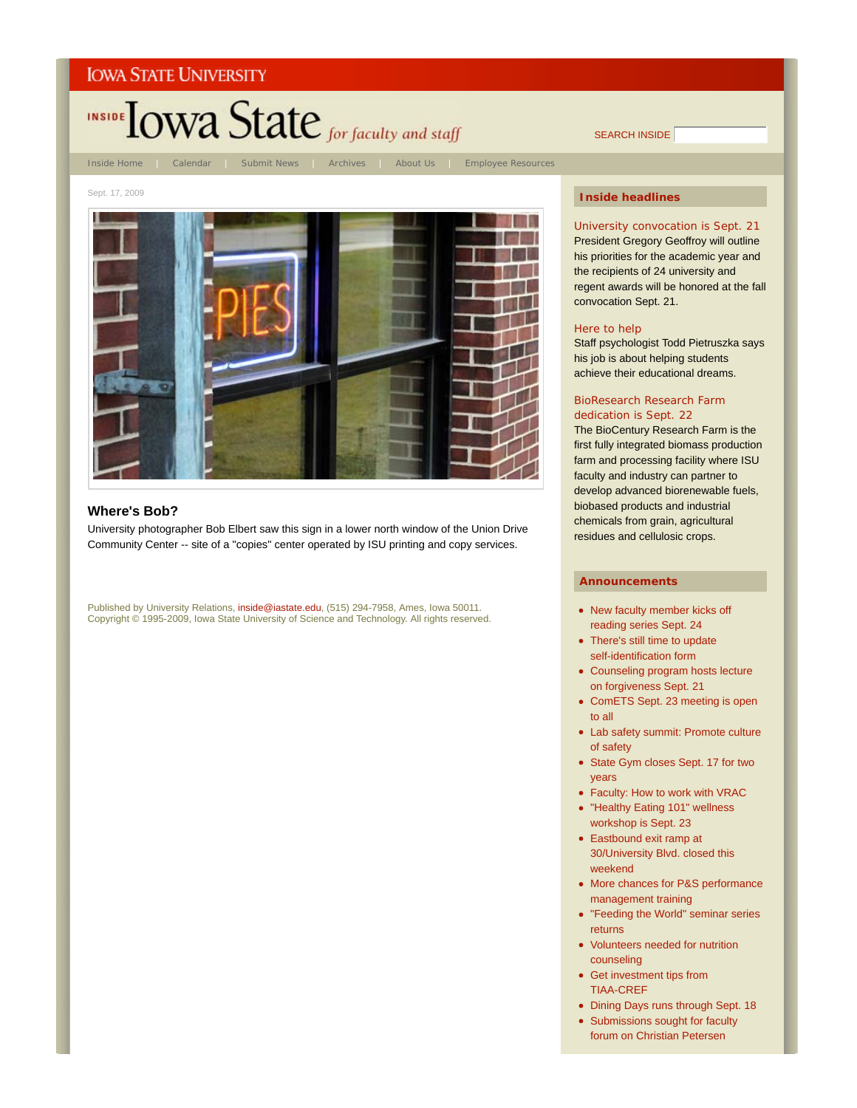

#### **Where's Bob?**

University photographer Bob Elbert saw this sign in a lower north window of the Union Drive Community Center -- site of a "copies" center operated by ISU printing and copy services.

Published by University Relations, inside@iastate.edu, (515) 294-7958, Ames, Iowa 50011. Copyright © 1995-2009, Iowa State University of Science and Technology. All rights reserved.

#### **Inside headlines**

SEARCH INSIDE

University convocation is Sept. 21 President Gregory Geoffroy will outline his priorities for the academic year and the recipients of 24 university and regent awards will be honored at the fall convocation Sept. 21.

#### Here to help

Staff psychologist Todd Pietruszka says his job is about helping students achieve their educational dreams.

#### BioResearch Research Farm dedication is Sept. 22

The BioCentury Research Farm is the first fully integrated biomass production farm and processing facility where ISU faculty and industry can partner to develop advanced biorenewable fuels, biobased products and industrial chemicals from grain, agricultural residues and cellulosic crops.

- New faculty member kicks off reading series Sept. 24
- There's still time to update self-identification form
- Counseling program hosts lecture on forgiveness Sept. 21
- ComETS Sept. 23 meeting is open to all
- Lab safety summit: Promote culture of safety
- State Gym closes Sept. 17 for two years
- Faculty: How to work with VRAC
- "Healthy Eating 101" wellness workshop is Sept. 23
- Eastbound exit ramp at 30/University Blvd. closed this weekend
- More chances for P&S performance management training
- "Feeding the World" seminar series returns
- Volunteers needed for nutrition counseling
- Get investment tips from TIAA-CREF
- Dining Days runs through Sept. 18
- Submissions sought for faculty forum on Christian Petersen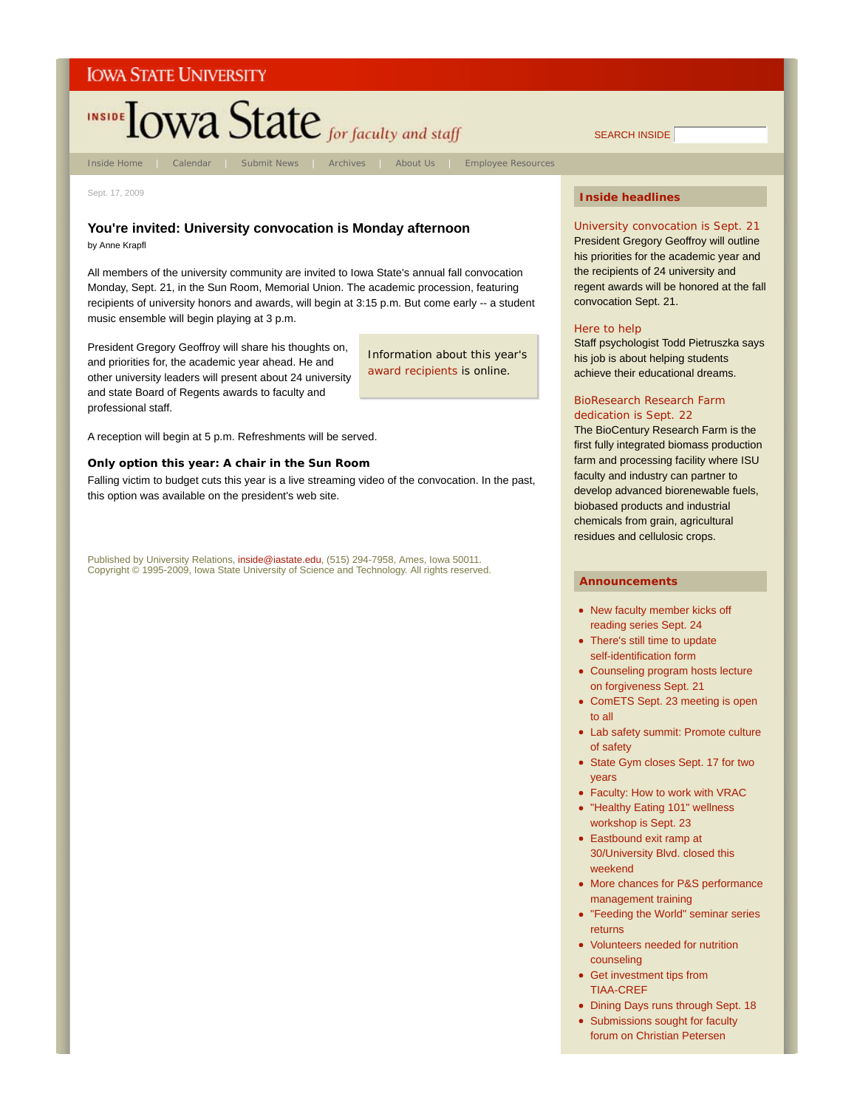

Sept. 17, 2009

#### **You're invited: University convocation is Monday afternoon**

by Anne Krapfl

All members of the university community are invited to Iowa State's annual fall convocation Monday, Sept. 21, in the Sun Room, Memorial Union. The academic procession, featuring recipients of university honors and awards, will begin at 3:15 p.m. But come early -- a student music ensemble will begin playing at 3 p.m.

President Gregory Geoffroy will share his thoughts on, and priorities for, the academic year ahead. He and other university leaders will present about 24 university and state Board of Regents awards to faculty and professional staff.

Information about this year's award recipients is online.

A reception will begin at 5 p.m. Refreshments will be served.

#### **Only option this year: A chair in the Sun Room**

Falling victim to budget cuts this year is a live streaming video of the convocation. In the past, this option was available on the president's web site.

Published by University Relations, inside@iastate.edu, (515) 294-7958, Ames, Iowa 50011. Copyright © 1995-2009, Iowa State University of Science and Technology. All rights reserved.

#### **Inside headlines**

SEARCH INSIDE

University convocation is Sept. 21 President Gregory Geoffroy will outline his priorities for the academic year and the recipients of 24 university and regent awards will be honored at the fall convocation Sept. 21.

#### Here to help

Staff psychologist Todd Pietruszka says his job is about helping students achieve their educational dreams.

#### BioResearch Research Farm dedication is Sept. 22

The BioCentury Research Farm is the first fully integrated biomass production farm and processing facility where ISU faculty and industry can partner to develop advanced biorenewable fuels, biobased products and industrial chemicals from grain, agricultural residues and cellulosic crops.

- New faculty member kicks off reading series Sept. 24
- There's still time to update self-identification form
- Counseling program hosts lecture on forgiveness Sept. 21
- ComETS Sept. 23 meeting is open to all
- Lab safety summit: Promote culture of safety
- State Gym closes Sept. 17 for two years
- Faculty: How to work with VRAC
- "Healthy Eating 101" wellness workshop is Sept. 23
- Eastbound exit ramp at 30/University Blvd. closed this weekend
- More chances for P&S performance management training
- "Feeding the World" seminar series returns
- Volunteers needed for nutrition counseling
- Get investment tips from TIAA-CREF
- Dining Days runs through Sept. 18
- Submissions sought for faculty forum on Christian Petersen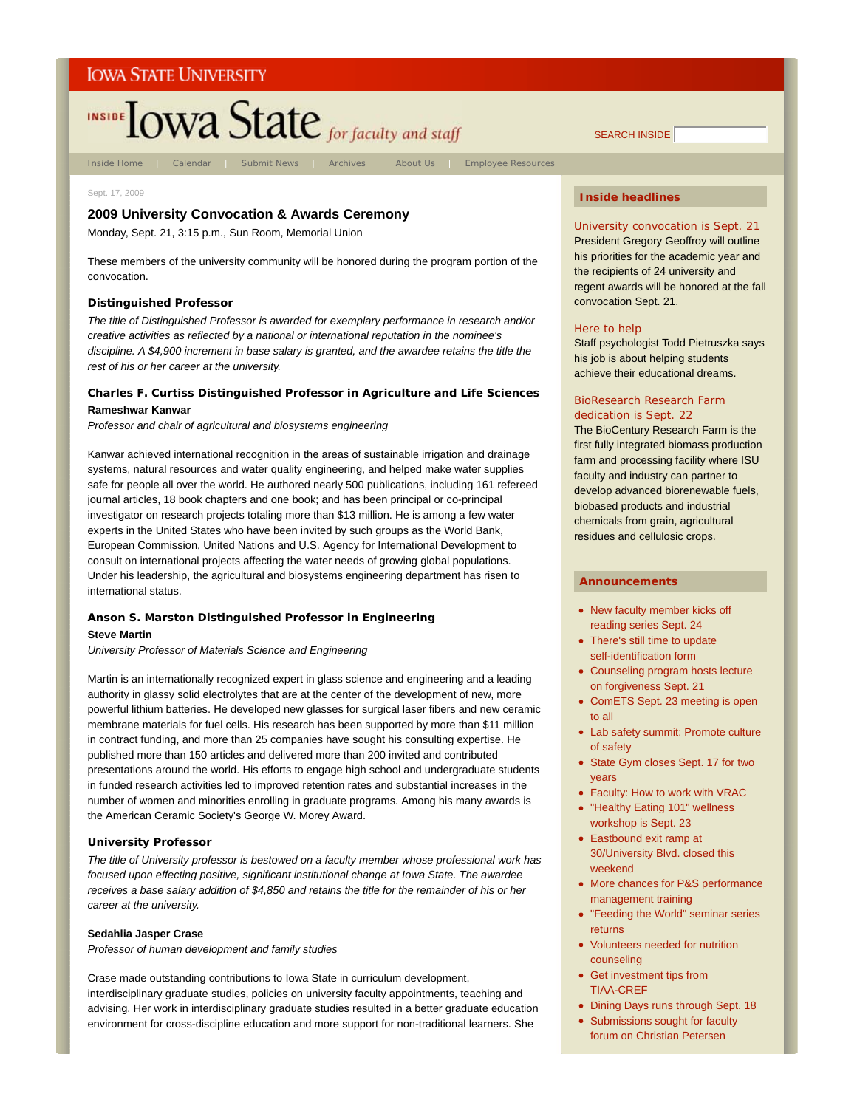# INSIDE TOWA State for faculty and staff

Inside Home | Calendar | Submit News | Archives | About Us | Employee Resources

#### Sept. 17, 2009

### **2009 University Convocation & Awards Ceremony**

Monday, Sept. 21, 3:15 p.m., Sun Room, Memorial Union

These members of the university community will be honored during the program portion of the convocation.

#### **Distinguished Professor**

*The title of Distinguished Professor is awarded for exemplary performance in research and/or creative activities as reflected by a national or international reputation in the nominee's discipline. A \$4,900 increment in base salary is granted, and the awardee retains the title the rest of his or her career at the university.*

#### **Charles F. Curtiss Distinguished Professor in Agriculture and Life Sciences Rameshwar Kanwar**

*Professor and chair of agricultural and biosystems engineering*

Kanwar achieved international recognition in the areas of sustainable irrigation and drainage systems, natural resources and water quality engineering, and helped make water supplies safe for people all over the world. He authored nearly 500 publications, including 161 refereed journal articles, 18 book chapters and one book; and has been principal or co-principal investigator on research projects totaling more than \$13 million. He is among a few water experts in the United States who have been invited by such groups as the World Bank, European Commission, United Nations and U.S. Agency for International Development to consult on international projects affecting the water needs of growing global populations. Under his leadership, the agricultural and biosystems engineering department has risen to international status.

# **Anson S. Marston Distinguished Professor in Engineering**

#### **Steve Martin**

*University Professor of Materials Science and Engineering*

Martin is an internationally recognized expert in glass science and engineering and a leading authority in glassy solid electrolytes that are at the center of the development of new, more powerful lithium batteries. He developed new glasses for surgical laser fibers and new ceramic membrane materials for fuel cells. His research has been supported by more than \$11 million in contract funding, and more than 25 companies have sought his consulting expertise. He published more than 150 articles and delivered more than 200 invited and contributed presentations around the world. His efforts to engage high school and undergraduate students in funded research activities led to improved retention rates and substantial increases in the number of women and minorities enrolling in graduate programs. Among his many awards is the American Ceramic Society's George W. Morey Award.

#### **University Professor**

*The title of University professor is bestowed on a faculty member whose professional work has focused upon effecting positive, significant institutional change at Iowa State. The awardee receives a base salary addition of \$4,850 and retains the title for the remainder of his or her career at the university.*

#### **Sedahlia Jasper Crase**

*Professor of human development and family studies*

Crase made outstanding contributions to Iowa State in curriculum development, interdisciplinary graduate studies, policies on university faculty appointments, teaching and advising. Her work in interdisciplinary graduate studies resulted in a better graduate education environment for cross-discipline education and more support for non-traditional learners. She

#### **Inside headlines**

University convocation is Sept. 21 President Gregory Geoffroy will outline his priorities for the academic year and the recipients of 24 university and regent awards will be honored at the fall convocation Sept. 21.

#### Here to help

Staff psychologist Todd Pietruszka says his job is about helping students achieve their educational dreams.

#### BioResearch Research Farm dedication is Sept. 22

The BioCentury Research Farm is the first fully integrated biomass production farm and processing facility where ISU faculty and industry can partner to develop advanced biorenewable fuels, biobased products and industrial chemicals from grain, agricultural residues and cellulosic crops.

#### **Announcements**

- New faculty member kicks off reading series Sept. 24
- There's still time to update self-identification form
- Counseling program hosts lecture on forgiveness Sept. 21
- ComETS Sept. 23 meeting is open to all
- Lab safety summit: Promote culture of safety
- State Gym closes Sept. 17 for two years
- Faculty: How to work with VRAC
- "Healthy Eating 101" wellness workshop is Sept. 23
- Eastbound exit ramp at 30/University Blvd. closed this weekend
- More chances for P&S performance management training
- "Feeding the World" seminar series returns
- Volunteers needed for nutrition counseling
- Get investment tips from TIAA-CREF
- Dining Days runs through Sept. 18
- Submissions sought for faculty forum on Christian Petersen

SEARCH INSIDE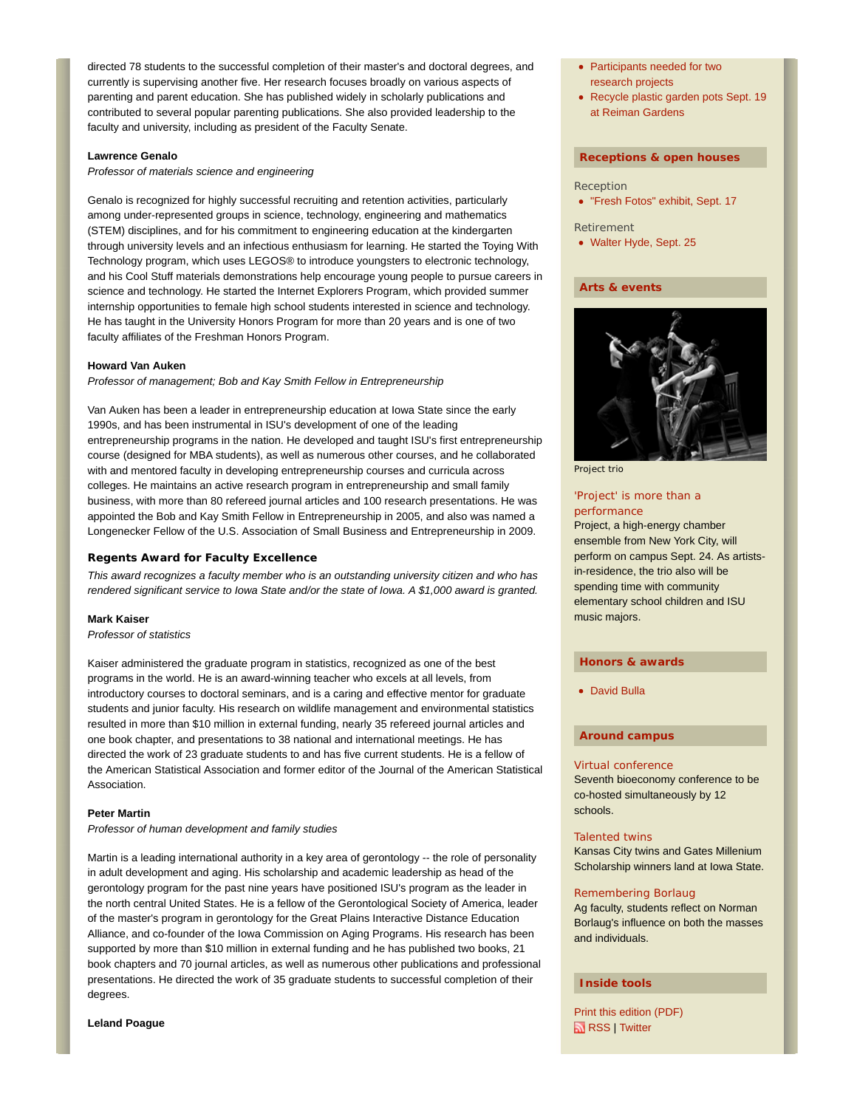directed 78 students to the successful completion of their master's and doctoral degrees, and currently is supervising another five. Her research focuses broadly on various aspects of parenting and parent education. She has published widely in scholarly publications and contributed to several popular parenting publications. She also provided leadership to the faculty and university, including as president of the Faculty Senate.

#### **Lawrence Genalo**

*Professor of materials science and engineering*

Genalo is recognized for highly successful recruiting and retention activities, particularly among under-represented groups in science, technology, engineering and mathematics (STEM) disciplines, and for his commitment to engineering education at the kindergarten through university levels and an infectious enthusiasm for learning. He started the Toying With Technology program, which uses LEGOS® to introduce youngsters to electronic technology, and his Cool Stuff materials demonstrations help encourage young people to pursue careers in science and technology. He started the Internet Explorers Program, which provided summer internship opportunities to female high school students interested in science and technology. He has taught in the University Honors Program for more than 20 years and is one of two faculty affiliates of the Freshman Honors Program.

#### **Howard Van Auken**

*Professor of management; Bob and Kay Smith Fellow in Entrepreneurship*

Van Auken has been a leader in entrepreneurship education at Iowa State since the early 1990s, and has been instrumental in ISU's development of one of the leading entrepreneurship programs in the nation. He developed and taught ISU's first entrepreneurship course (designed for MBA students), as well as numerous other courses, and he collaborated with and mentored faculty in developing entrepreneurship courses and curricula across colleges. He maintains an active research program in entrepreneurship and small family business, with more than 80 refereed journal articles and 100 research presentations. He was appointed the Bob and Kay Smith Fellow in Entrepreneurship in 2005, and also was named a Longenecker Fellow of the U.S. Association of Small Business and Entrepreneurship in 2009.

#### **Regents Award for Faculty Excellence**

*This award recognizes a faculty member who is an outstanding university citizen and who has rendered significant service to Iowa State and/or the state of Iowa. A \$1,000 award is granted.*

#### **Mark Kaiser**

*Professor of statistics*

Kaiser administered the graduate program in statistics, recognized as one of the best programs in the world. He is an award-winning teacher who excels at all levels, from introductory courses to doctoral seminars, and is a caring and effective mentor for graduate students and junior faculty. His research on wildlife management and environmental statistics resulted in more than \$10 million in external funding, nearly 35 refereed journal articles and one book chapter, and presentations to 38 national and international meetings. He has directed the work of 23 graduate students to and has five current students. He is a fellow of the American Statistical Association and former editor of the Journal of the American Statistical Association.

#### **Peter Martin**

*Professor of human development and family studies*

Martin is a leading international authority in a key area of gerontology -- the role of personality in adult development and aging. His scholarship and academic leadership as head of the gerontology program for the past nine years have positioned ISU's program as the leader in the north central United States. He is a fellow of the Gerontological Society of America, leader of the master's program in gerontology for the Great Plains Interactive Distance Education Alliance, and co-founder of the Iowa Commission on Aging Programs. His research has been supported by more than \$10 million in external funding and he has published two books, 21 book chapters and 70 journal articles, as well as numerous other publications and professional presentations. He directed the work of 35 graduate students to successful completion of their degrees.

#### **Leland Poague**

- Participants needed for two research projects
- Recycle plastic garden pots Sept. 19 at Reiman Gardens

#### **Receptions & open houses**

- Reception
- "Fresh Fotos" exhibit, Sept. 17
- Retirement
- Walter Hyde, Sept. 25

#### **Arts & events**



Project trio

#### 'Project' is more than a performance

Project, a high-energy chamber ensemble from New York City, will perform on campus Sept. 24. As artistsin-residence, the trio also will be spending time with community elementary school children and ISU music majors.

#### **Honors & awards**

David Bulla

#### **Around campus**

#### Virtual conference

Seventh bioeconomy conference to be co-hosted simultaneously by 12 schools.

#### Talented twins

Kansas City twins and Gates Millenium Scholarship winners land at Iowa State.

#### Remembering Borlaug

Ag faculty, students reflect on Norman Borlaug's influence on both the masses and individuals.

#### **Inside tools**

Print this edition (PDF) **RSS** | Twitter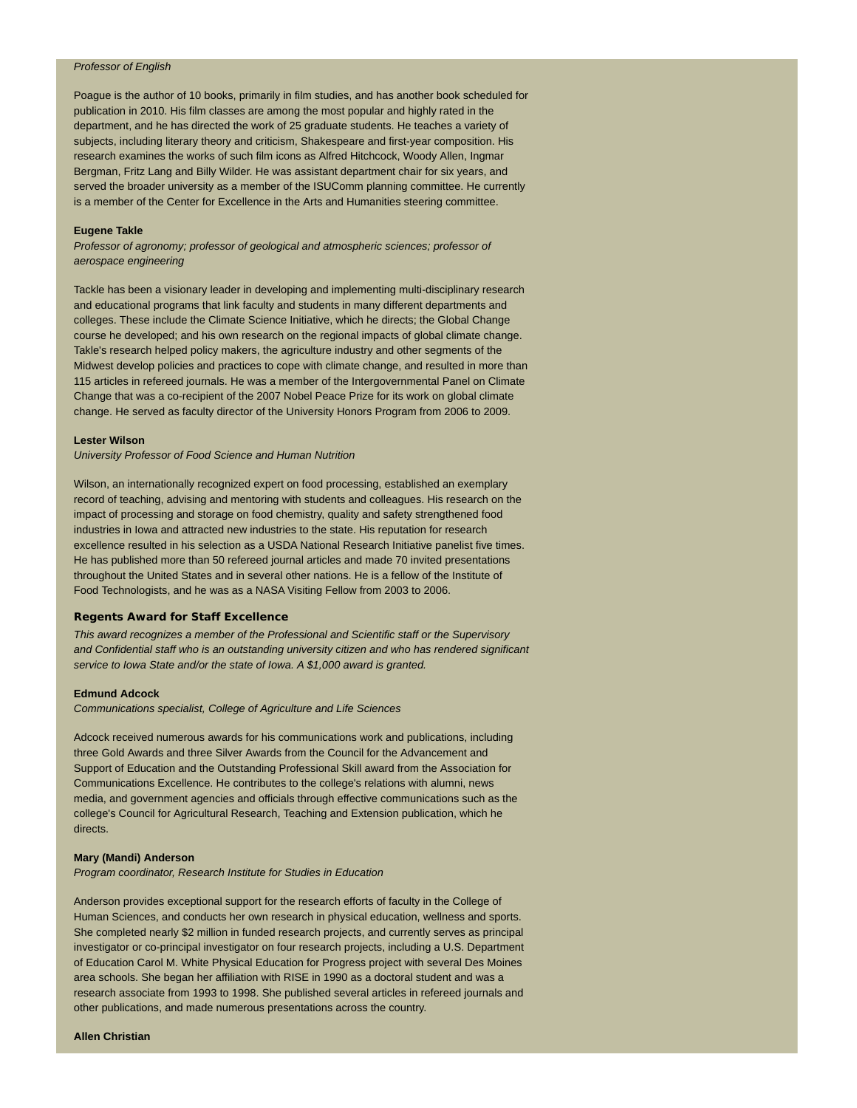#### *Professor of English*

Poague is the author of 10 books, primarily in film studies, and has another book scheduled for publication in 2010. His film classes are among the most popular and highly rated in the department, and he has directed the work of 25 graduate students. He teaches a variety of subjects, including literary theory and criticism, Shakespeare and first-year composition. His research examines the works of such film icons as Alfred Hitchcock, Woody Allen, Ingmar Bergman, Fritz Lang and Billy Wilder. He was assistant department chair for six years, and served the broader university as a member of the ISUComm planning committee. He currently is a member of the Center for Excellence in the Arts and Humanities steering committee.

#### **Eugene Takle**

*Professor of agronomy; professor of geological and atmospheric sciences; professor of aerospace engineering*

Tackle has been a visionary leader in developing and implementing multi-disciplinary research and educational programs that link faculty and students in many different departments and colleges. These include the Climate Science Initiative, which he directs; the Global Change course he developed; and his own research on the regional impacts of global climate change. Takle's research helped policy makers, the agriculture industry and other segments of the Midwest develop policies and practices to cope with climate change, and resulted in more than 115 articles in refereed journals. He was a member of the Intergovernmental Panel on Climate Change that was a co-recipient of the 2007 Nobel Peace Prize for its work on global climate change. He served as faculty director of the University Honors Program from 2006 to 2009.

#### **Lester Wilson**

*University Professor of Food Science and Human Nutrition*

Wilson, an internationally recognized expert on food processing, established an exemplary record of teaching, advising and mentoring with students and colleagues. His research on the impact of processing and storage on food chemistry, quality and safety strengthened food industries in Iowa and attracted new industries to the state. His reputation for research excellence resulted in his selection as a USDA National Research Initiative panelist five times. He has published more than 50 refereed journal articles and made 70 invited presentations throughout the United States and in several other nations. He is a fellow of the Institute of Food Technologists, and he was as a NASA Visiting Fellow from 2003 to 2006.

#### **Regents Award for Staff Excellence**

*This award recognizes a member of the Professional and Scientific staff or the Supervisory and Confidential staff who is an outstanding university citizen and who has rendered significant service to Iowa State and/or the state of Iowa. A \$1,000 award is granted.*

#### **Edmund Adcock**

*Communications specialist, College of Agriculture and Life Sciences*

Adcock received numerous awards for his communications work and publications, including three Gold Awards and three Silver Awards from the Council for the Advancement and Support of Education and the Outstanding Professional Skill award from the Association for Communications Excellence. He contributes to the college's relations with alumni, news media, and government agencies and officials through effective communications such as the college's Council for Agricultural Research, Teaching and Extension publication, which he directs.

#### **Mary (Mandi) Anderson**

*Program coordinator, Research Institute for Studies in Education*

Anderson provides exceptional support for the research efforts of faculty in the College of Human Sciences, and conducts her own research in physical education, wellness and sports. She completed nearly \$2 million in funded research projects, and currently serves as principal investigator or co-principal investigator on four research projects, including a U.S. Department of Education Carol M. White Physical Education for Progress project with several Des Moines area schools. She began her affiliation with RISE in 1990 as a doctoral student and was a research associate from 1993 to 1998. She published several articles in refereed journals and other publications, and made numerous presentations across the country.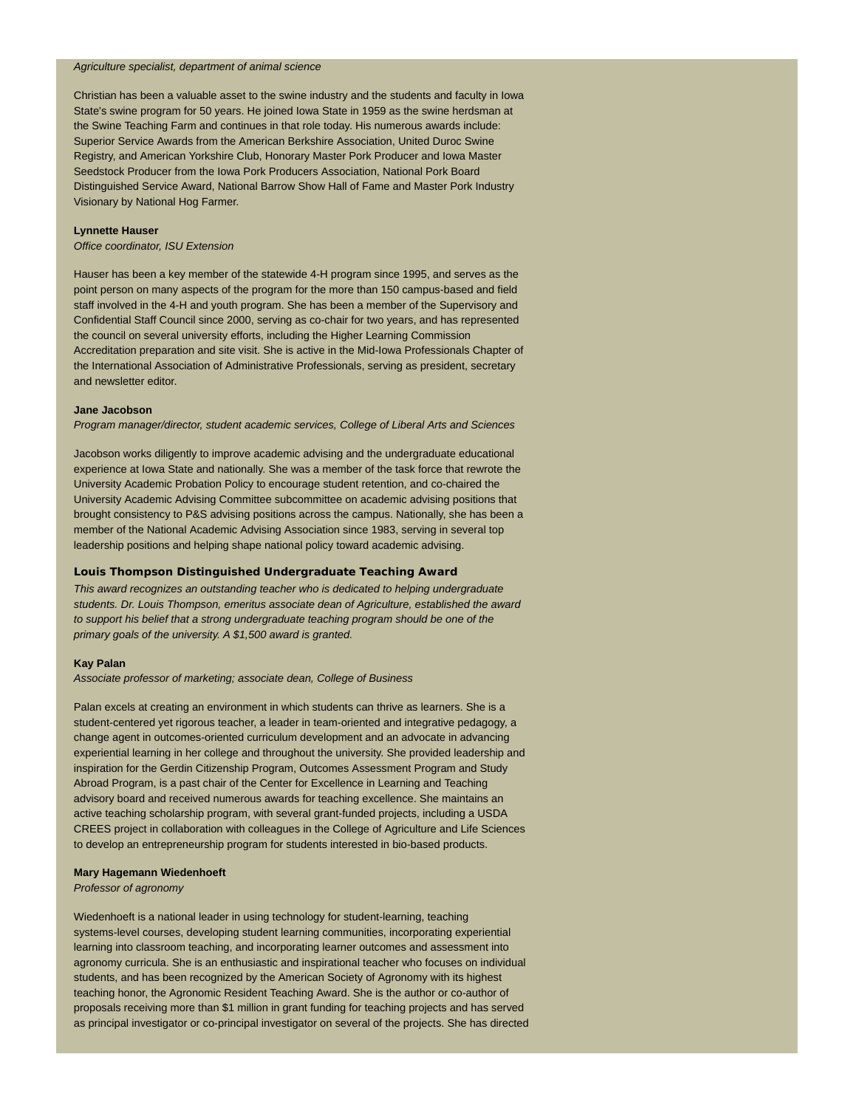#### *Agriculture specialist, department of animal science*

Christian has been a valuable asset to the swine industry and the students and faculty in Iowa State's swine program for 50 years. He joined Iowa State in 1959 as the swine herdsman at the Swine Teaching Farm and continues in that role today. His numerous awards include: Superior Service Awards from the American Berkshire Association, United Duroc Swine Registry, and American Yorkshire Club, Honorary Master Pork Producer and Iowa Master Seedstock Producer from the Iowa Pork Producers Association, National Pork Board Distinguished Service Award, National Barrow Show Hall of Fame and Master Pork Industry Visionary by National Hog Farmer.

#### **Lynnette Hauser**

*Office coordinator, ISU Extension*

Hauser has been a key member of the statewide 4-H program since 1995, and serves as the point person on many aspects of the program for the more than 150 campus-based and field staff involved in the 4-H and youth program. She has been a member of the Supervisory and Confidential Staff Council since 2000, serving as co-chair for two years, and has represented the council on several university efforts, including the Higher Learning Commission Accreditation preparation and site visit. She is active in the Mid-Iowa Professionals Chapter of the International Association of Administrative Professionals, serving as president, secretary and newsletter editor.

#### **Jane Jacobson**

*Program manager/director, student academic services, College of Liberal Arts and Sciences*

Jacobson works diligently to improve academic advising and the undergraduate educational experience at Iowa State and nationally. She was a member of the task force that rewrote the University Academic Probation Policy to encourage student retention, and co-chaired the University Academic Advising Committee subcommittee on academic advising positions that brought consistency to P&S advising positions across the campus. Nationally, she has been a member of the National Academic Advising Association since 1983, serving in several top leadership positions and helping shape national policy toward academic advising.

#### **Louis Thompson Distinguished Undergraduate Teaching Award**

*This award recognizes an outstanding teacher who is dedicated to helping undergraduate students. Dr. Louis Thompson, emeritus associate dean of Agriculture, established the award to support his belief that a strong undergraduate teaching program should be one of the primary goals of the university. A \$1,500 award is granted.*

#### **Kay Palan**

*Associate professor of marketing; associate dean, College of Business*

Palan excels at creating an environment in which students can thrive as learners. She is a student-centered yet rigorous teacher, a leader in team-oriented and integrative pedagogy, a change agent in outcomes-oriented curriculum development and an advocate in advancing experiential learning in her college and throughout the university. She provided leadership and inspiration for the Gerdin Citizenship Program, Outcomes Assessment Program and Study Abroad Program, is a past chair of the Center for Excellence in Learning and Teaching advisory board and received numerous awards for teaching excellence. She maintains an active teaching scholarship program, with several grant-funded projects, including a USDA CREES project in collaboration with colleagues in the College of Agriculture and Life Sciences to develop an entrepreneurship program for students interested in bio-based products.

#### **Mary Hagemann Wiedenhoeft**

*Professor of agronomy*

Wiedenhoeft is a national leader in using technology for student-learning, teaching systems-level courses, developing student learning communities, incorporating experiential learning into classroom teaching, and incorporating learner outcomes and assessment into agronomy curricula. She is an enthusiastic and inspirational teacher who focuses on individual students, and has been recognized by the American Society of Agronomy with its highest teaching honor, the Agronomic Resident Teaching Award. She is the author or co-author of proposals receiving more than \$1 million in grant funding for teaching projects and has served as principal investigator or co-principal investigator on several of the projects. She has directed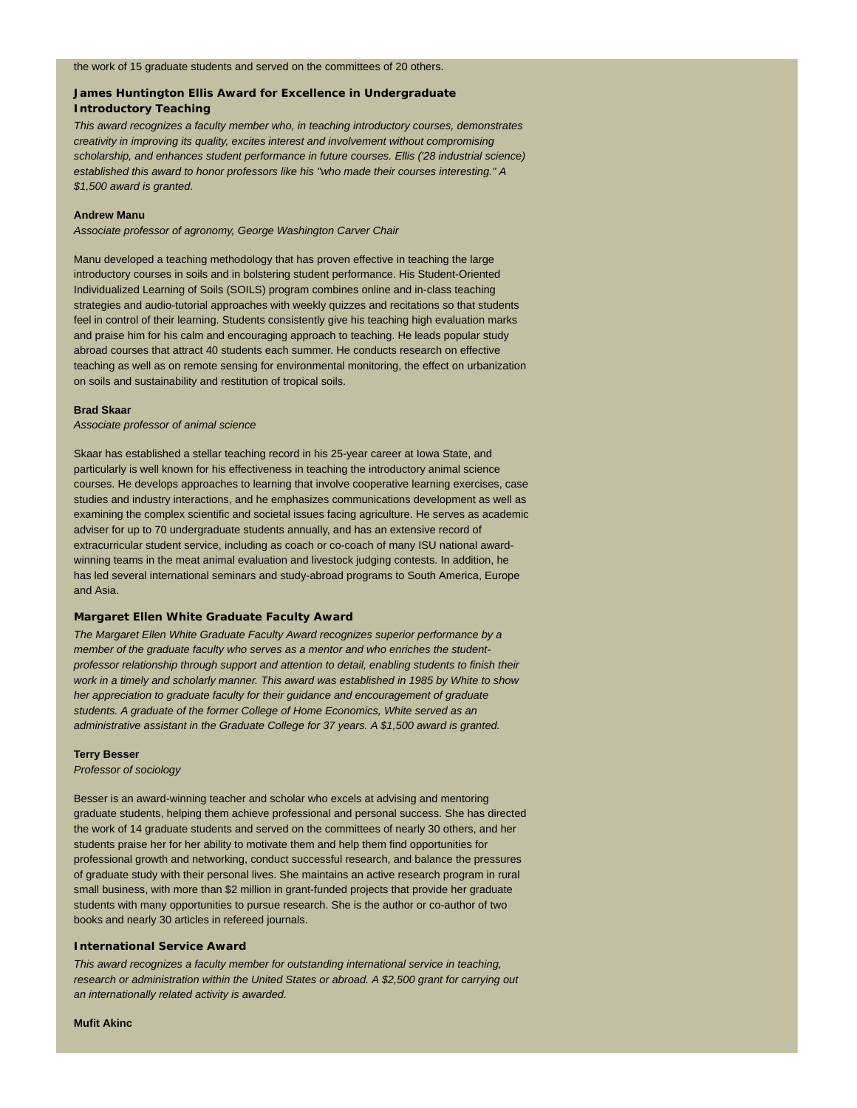#### **James Huntington Ellis Award for Excellence in Undergraduate Introductory Teaching**

*This award recognizes a faculty member who, in teaching introductory courses, demonstrates creativity in improving its quality, excites interest and involvement without compromising scholarship, and enhances student performance in future courses. Ellis ('28 industrial science) established this award to honor professors like his "who made their courses interesting." A \$1,500 award is granted.*

#### **Andrew Manu**

*Associate professor of agronomy, George Washington Carver Chair*

Manu developed a teaching methodology that has proven effective in teaching the large introductory courses in soils and in bolstering student performance. His Student-Oriented Individualized Learning of Soils (SOILS) program combines online and in-class teaching strategies and audio-tutorial approaches with weekly quizzes and recitations so that students feel in control of their learning. Students consistently give his teaching high evaluation marks and praise him for his calm and encouraging approach to teaching. He leads popular study abroad courses that attract 40 students each summer. He conducts research on effective teaching as well as on remote sensing for environmental monitoring, the effect on urbanization on soils and sustainability and restitution of tropical soils.

#### **Brad Skaar**

*Associate professor of animal science*

Skaar has established a stellar teaching record in his 25-year career at Iowa State, and particularly is well known for his effectiveness in teaching the introductory animal science courses. He develops approaches to learning that involve cooperative learning exercises, case studies and industry interactions, and he emphasizes communications development as well as examining the complex scientific and societal issues facing agriculture. He serves as academic adviser for up to 70 undergraduate students annually, and has an extensive record of extracurricular student service, including as coach or co-coach of many ISU national awardwinning teams in the meat animal evaluation and livestock judging contests. In addition, he has led several international seminars and study-abroad programs to South America, Europe and Asia.

#### **Margaret Ellen White Graduate Faculty Award**

*The Margaret Ellen White Graduate Faculty Award recognizes superior performance by a member of the graduate faculty who serves as a mentor and who enriches the studentprofessor relationship through support and attention to detail, enabling students to finish their work in a timely and scholarly manner. This award was established in 1985 by White to show her appreciation to graduate faculty for their guidance and encouragement of graduate students. A graduate of the former College of Home Economics, White served as an administrative assistant in the Graduate College for 37 years. A \$1,500 award is granted.*

#### **Terry Besser**

*Professor of sociology*

Besser is an award-winning teacher and scholar who excels at advising and mentoring graduate students, helping them achieve professional and personal success. She has directed the work of 14 graduate students and served on the committees of nearly 30 others, and her students praise her for her ability to motivate them and help them find opportunities for professional growth and networking, conduct successful research, and balance the pressures of graduate study with their personal lives. She maintains an active research program in rural small business, with more than \$2 million in grant-funded projects that provide her graduate students with many opportunities to pursue research. She is the author or co-author of two books and nearly 30 articles in refereed journals.

#### **International Service Award**

*This award recognizes a faculty member for outstanding international service in teaching, research or administration within the United States or abroad. A \$2,500 grant for carrying out an internationally related activity is awarded.*

**Mufit Akinc**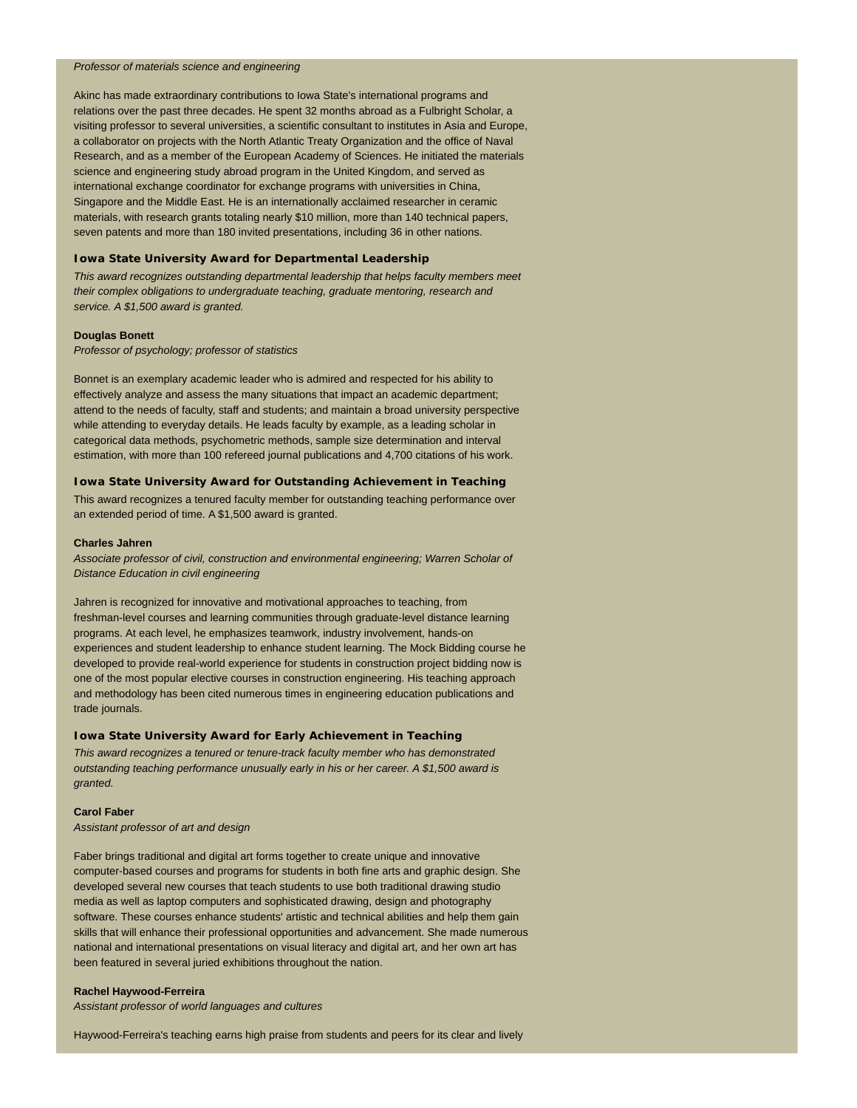#### *Professor of materials science and engineering*

Akinc has made extraordinary contributions to Iowa State's international programs and relations over the past three decades. He spent 32 months abroad as a Fulbright Scholar, a visiting professor to several universities, a scientific consultant to institutes in Asia and Europe, a collaborator on projects with the North Atlantic Treaty Organization and the office of Naval Research, and as a member of the European Academy of Sciences. He initiated the materials science and engineering study abroad program in the United Kingdom, and served as international exchange coordinator for exchange programs with universities in China, Singapore and the Middle East. He is an internationally acclaimed researcher in ceramic materials, with research grants totaling nearly \$10 million, more than 140 technical papers, seven patents and more than 180 invited presentations, including 36 in other nations.

#### **Iowa State University Award for Departmental Leadership**

*This award recognizes outstanding departmental leadership that helps faculty members meet their complex obligations to undergraduate teaching, graduate mentoring, research and service. A \$1,500 award is granted.*

#### **Douglas Bonett**

*Professor of psychology; professor of statistics*

Bonnet is an exemplary academic leader who is admired and respected for his ability to effectively analyze and assess the many situations that impact an academic department; attend to the needs of faculty, staff and students; and maintain a broad university perspective while attending to everyday details. He leads faculty by example, as a leading scholar in categorical data methods, psychometric methods, sample size determination and interval estimation, with more than 100 refereed journal publications and 4,700 citations of his work.

#### **Iowa State University Award for Outstanding Achievement in Teaching**

This award recognizes a tenured faculty member for outstanding teaching performance over an extended period of time. A \$1,500 award is granted.

#### **Charles Jahren**

*Associate professor of civil, construction and environmental engineering; Warren Scholar of Distance Education in civil engineering*

Jahren is recognized for innovative and motivational approaches to teaching, from freshman-level courses and learning communities through graduate-level distance learning programs. At each level, he emphasizes teamwork, industry involvement, hands-on experiences and student leadership to enhance student learning. The Mock Bidding course he developed to provide real-world experience for students in construction project bidding now is one of the most popular elective courses in construction engineering. His teaching approach and methodology has been cited numerous times in engineering education publications and trade journals.

#### **Iowa State University Award for Early Achievement in Teaching**

*This award recognizes a tenured or tenure-track faculty member who has demonstrated outstanding teaching performance unusually early in his or her career. A \$1,500 award is granted.*

#### **Carol Faber**

*Assistant professor of art and design*

Faber brings traditional and digital art forms together to create unique and innovative computer-based courses and programs for students in both fine arts and graphic design. She developed several new courses that teach students to use both traditional drawing studio media as well as laptop computers and sophisticated drawing, design and photography software. These courses enhance students' artistic and technical abilities and help them gain skills that will enhance their professional opportunities and advancement. She made numerous national and international presentations on visual literacy and digital art, and her own art has been featured in several juried exhibitions throughout the nation.

#### **Rachel Haywood-Ferreira**

*Assistant professor of world languages and cultures*

Haywood-Ferreira's teaching earns high praise from students and peers for its clear and lively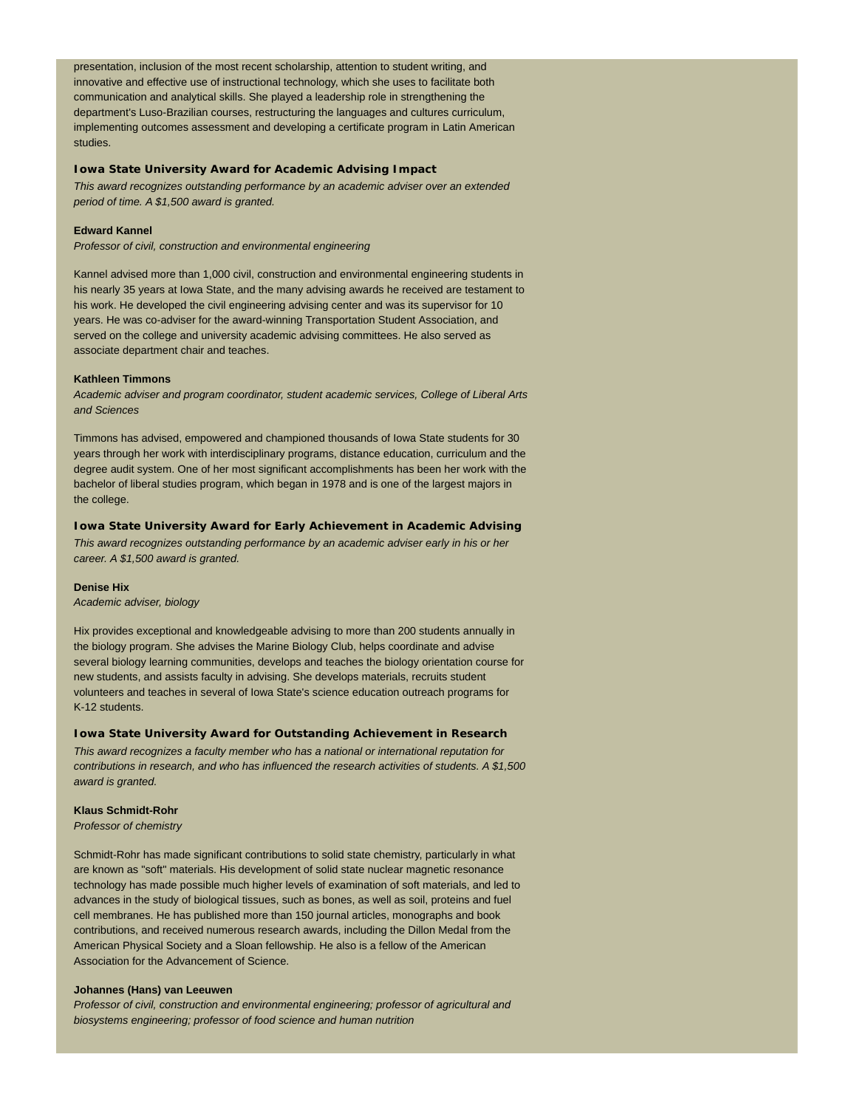presentation, inclusion of the most recent scholarship, attention to student writing, and innovative and effective use of instructional technology, which she uses to facilitate both communication and analytical skills. She played a leadership role in strengthening the department's Luso-Brazilian courses, restructuring the languages and cultures curriculum, implementing outcomes assessment and developing a certificate program in Latin American studies.

#### **Iowa State University Award for Academic Advising Impact**

*This award recognizes outstanding performance by an academic adviser over an extended period of time. A \$1,500 award is granted.*

#### **Edward Kannel**

*Professor of civil, construction and environmental engineering*

Kannel advised more than 1,000 civil, construction and environmental engineering students in his nearly 35 years at Iowa State, and the many advising awards he received are testament to his work. He developed the civil engineering advising center and was its supervisor for 10 years. He was co-adviser for the award-winning Transportation Student Association, and served on the college and university academic advising committees. He also served as associate department chair and teaches.

#### **Kathleen Timmons**

*Academic adviser and program coordinator, student academic services, College of Liberal Arts and Sciences*

Timmons has advised, empowered and championed thousands of Iowa State students for 30 years through her work with interdisciplinary programs, distance education, curriculum and the degree audit system. One of her most significant accomplishments has been her work with the bachelor of liberal studies program, which began in 1978 and is one of the largest majors in the college.

#### **Iowa State University Award for Early Achievement in Academic Advising**

*This award recognizes outstanding performance by an academic adviser early in his or her career. A \$1,500 award is granted.*

#### **Denise Hix**

*Academic adviser, biology*

Hix provides exceptional and knowledgeable advising to more than 200 students annually in the biology program. She advises the Marine Biology Club, helps coordinate and advise several biology learning communities, develops and teaches the biology orientation course for new students, and assists faculty in advising. She develops materials, recruits student volunteers and teaches in several of Iowa State's science education outreach programs for K-12 students.

#### **Iowa State University Award for Outstanding Achievement in Research**

*This award recognizes a faculty member who has a national or international reputation for contributions in research, and who has influenced the research activities of students. A \$1,500 award is granted.*

#### **Klaus Schmidt-Rohr**

*Professor of chemistry*

Schmidt-Rohr has made significant contributions to solid state chemistry, particularly in what are known as "soft" materials. His development of solid state nuclear magnetic resonance technology has made possible much higher levels of examination of soft materials, and led to advances in the study of biological tissues, such as bones, as well as soil, proteins and fuel cell membranes. He has published more than 150 journal articles, monographs and book contributions, and received numerous research awards, including the Dillon Medal from the American Physical Society and a Sloan fellowship. He also is a fellow of the American Association for the Advancement of Science.

#### **Johannes (Hans) van Leeuwen**

*Professor of civil, construction and environmental engineering; professor of agricultural and biosystems engineering; professor of food science and human nutrition*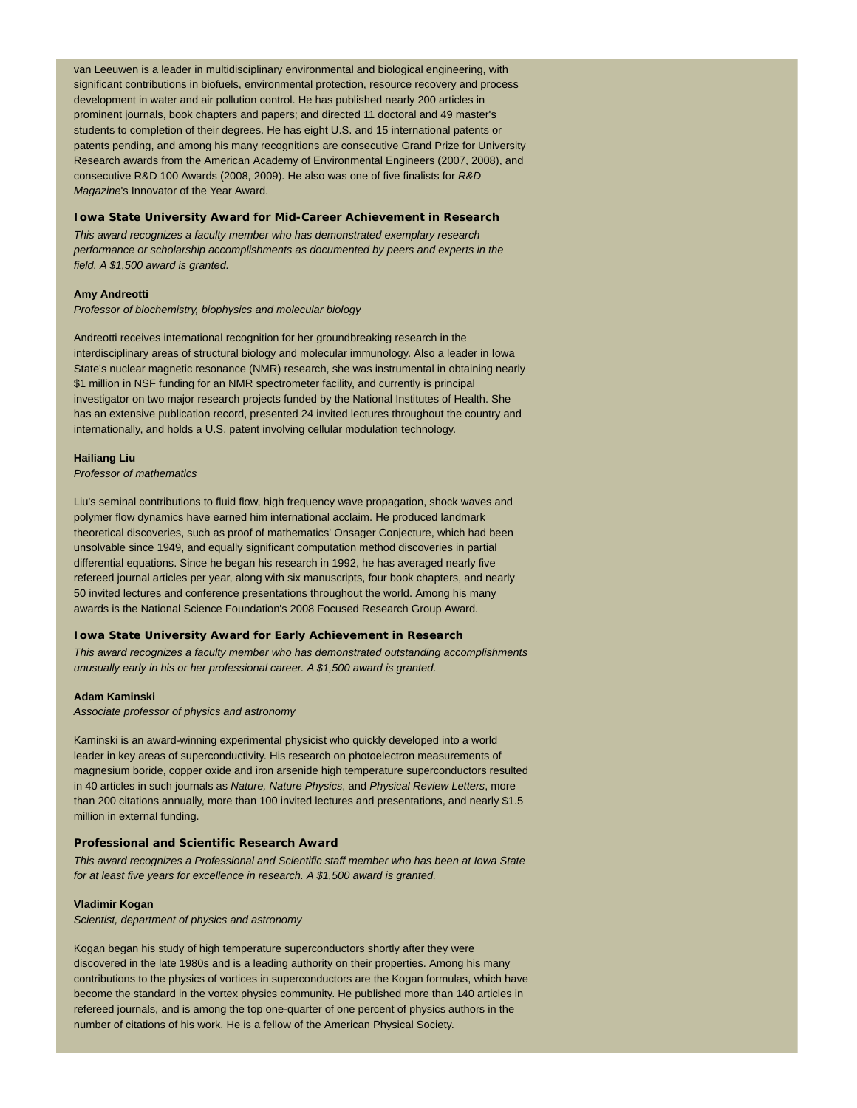van Leeuwen is a leader in multidisciplinary environmental and biological engineering, with significant contributions in biofuels, environmental protection, resource recovery and process development in water and air pollution control. He has published nearly 200 articles in prominent journals, book chapters and papers; and directed 11 doctoral and 49 master's students to completion of their degrees. He has eight U.S. and 15 international patents or patents pending, and among his many recognitions are consecutive Grand Prize for University Research awards from the American Academy of Environmental Engineers (2007, 2008), and consecutive R&D 100 Awards (2008, 2009). He also was one of five finalists for *R&D Magazine*'s Innovator of the Year Award.

#### **Iowa State University Award for Mid-Career Achievement in Research**

*This award recognizes a faculty member who has demonstrated exemplary research performance or scholarship accomplishments as documented by peers and experts in the field. A \$1,500 award is granted.*

#### **Amy Andreotti**

*Professor of biochemistry, biophysics and molecular biology*

Andreotti receives international recognition for her groundbreaking research in the interdisciplinary areas of structural biology and molecular immunology. Also a leader in Iowa State's nuclear magnetic resonance (NMR) research, she was instrumental in obtaining nearly \$1 million in NSF funding for an NMR spectrometer facility, and currently is principal investigator on two major research projects funded by the National Institutes of Health. She has an extensive publication record, presented 24 invited lectures throughout the country and internationally, and holds a U.S. patent involving cellular modulation technology.

#### **Hailiang Liu**

*Professor of mathematics*

Liu's seminal contributions to fluid flow, high frequency wave propagation, shock waves and polymer flow dynamics have earned him international acclaim. He produced landmark theoretical discoveries, such as proof of mathematics' Onsager Conjecture, which had been unsolvable since 1949, and equally significant computation method discoveries in partial differential equations. Since he began his research in 1992, he has averaged nearly five refereed journal articles per year, along with six manuscripts, four book chapters, and nearly 50 invited lectures and conference presentations throughout the world. Among his many awards is the National Science Foundation's 2008 Focused Research Group Award.

#### **Iowa State University Award for Early Achievement in Research**

*This award recognizes a faculty member who has demonstrated outstanding accomplishments unusually early in his or her professional career. A \$1,500 award is granted.*

#### **Adam Kaminski**

*Associate professor of physics and astronomy*

Kaminski is an award-winning experimental physicist who quickly developed into a world leader in key areas of superconductivity. His research on photoelectron measurements of magnesium boride, copper oxide and iron arsenide high temperature superconductors resulted in 40 articles in such journals as *Nature, Nature Physics*, and *Physical Review Letters*, more than 200 citations annually, more than 100 invited lectures and presentations, and nearly \$1.5 million in external funding.

#### **Professional and Scientific Research Award**

*This award recognizes a Professional and Scientific staff member who has been at Iowa State for at least five years for excellence in research. A \$1,500 award is granted.*

#### **Vladimir Kogan**

*Scientist, department of physics and astronomy*

Kogan began his study of high temperature superconductors shortly after they were discovered in the late 1980s and is a leading authority on their properties. Among his many contributions to the physics of vortices in superconductors are the Kogan formulas, which have become the standard in the vortex physics community. He published more than 140 articles in refereed journals, and is among the top one-quarter of one percent of physics authors in the number of citations of his work. He is a fellow of the American Physical Society.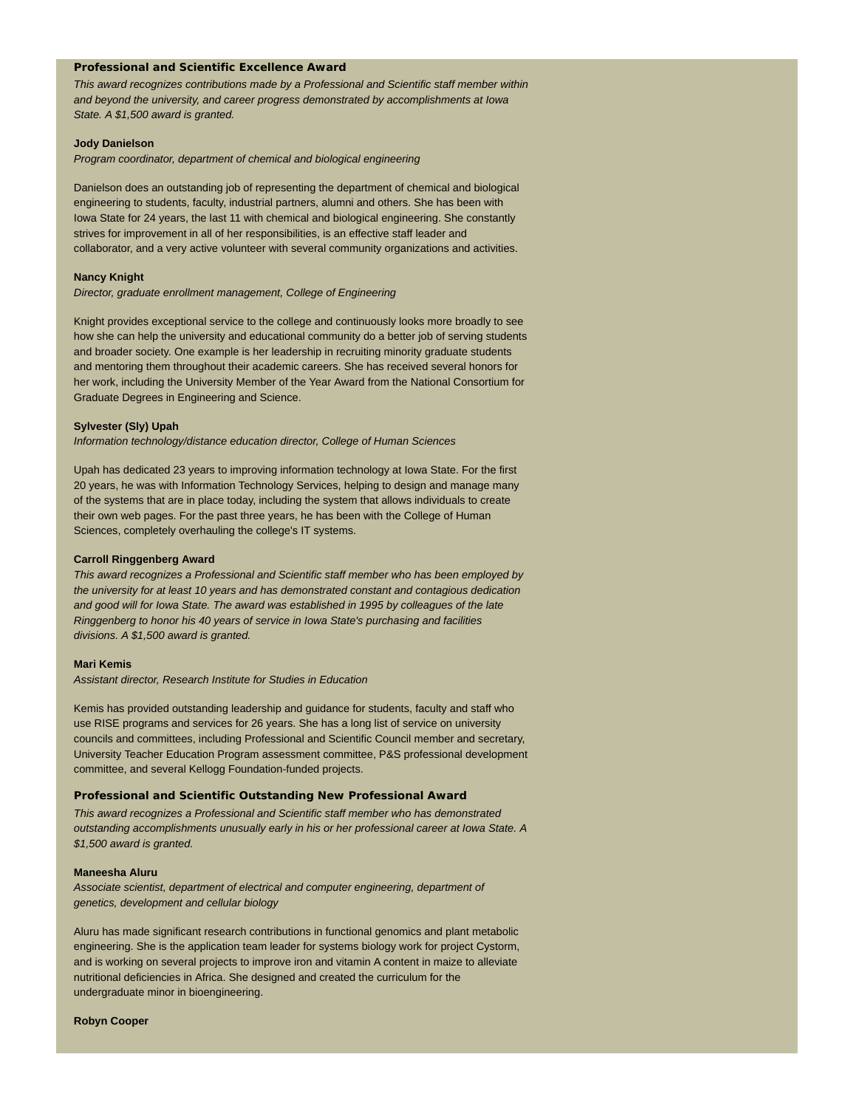#### **Professional and Scientific Excellence Award**

*This award recognizes contributions made by a Professional and Scientific staff member within and beyond the university, and career progress demonstrated by accomplishments at Iowa State. A \$1,500 award is granted.*

#### **Jody Danielson**

*Program coordinator, department of chemical and biological engineering*

Danielson does an outstanding job of representing the department of chemical and biological engineering to students, faculty, industrial partners, alumni and others. She has been with Iowa State for 24 years, the last 11 with chemical and biological engineering. She constantly strives for improvement in all of her responsibilities, is an effective staff leader and collaborator, and a very active volunteer with several community organizations and activities.

#### **Nancy Knight**

*Director, graduate enrollment management, College of Engineering*

Knight provides exceptional service to the college and continuously looks more broadly to see how she can help the university and educational community do a better job of serving students and broader society. One example is her leadership in recruiting minority graduate students and mentoring them throughout their academic careers. She has received several honors for her work, including the University Member of the Year Award from the National Consortium for Graduate Degrees in Engineering and Science.

#### **Sylvester (Sly) Upah**

*Information technology/distance education director, College of Human Sciences*

Upah has dedicated 23 years to improving information technology at Iowa State. For the first 20 years, he was with Information Technology Services, helping to design and manage many of the systems that are in place today, including the system that allows individuals to create their own web pages. For the past three years, he has been with the College of Human Sciences, completely overhauling the college's IT systems.

#### **Carroll Ringgenberg Award**

*This award recognizes a Professional and Scientific staff member who has been employed by the university for at least 10 years and has demonstrated constant and contagious dedication and good will for Iowa State. The award was established in 1995 by colleagues of the late Ringgenberg to honor his 40 years of service in Iowa State's purchasing and facilities divisions. A \$1,500 award is granted.*

#### **Mari Kemis**

*Assistant director, Research Institute for Studies in Education*

Kemis has provided outstanding leadership and guidance for students, faculty and staff who use RISE programs and services for 26 years. She has a long list of service on university councils and committees, including Professional and Scientific Council member and secretary, University Teacher Education Program assessment committee, P&S professional development committee, and several Kellogg Foundation-funded projects.

#### **Professional and Scientific Outstanding New Professional Award**

*This award recognizes a Professional and Scientific staff member who has demonstrated outstanding accomplishments unusually early in his or her professional career at Iowa State. A \$1,500 award is granted.*

#### **Maneesha Aluru**

*Associate scientist, department of electrical and computer engineering, department of genetics, development and cellular biology*

Aluru has made significant research contributions in functional genomics and plant metabolic engineering. She is the application team leader for systems biology work for project Cystorm, and is working on several projects to improve iron and vitamin A content in maize to alleviate nutritional deficiencies in Africa. She designed and created the curriculum for the undergraduate minor in bioengineering.

#### **Robyn Cooper**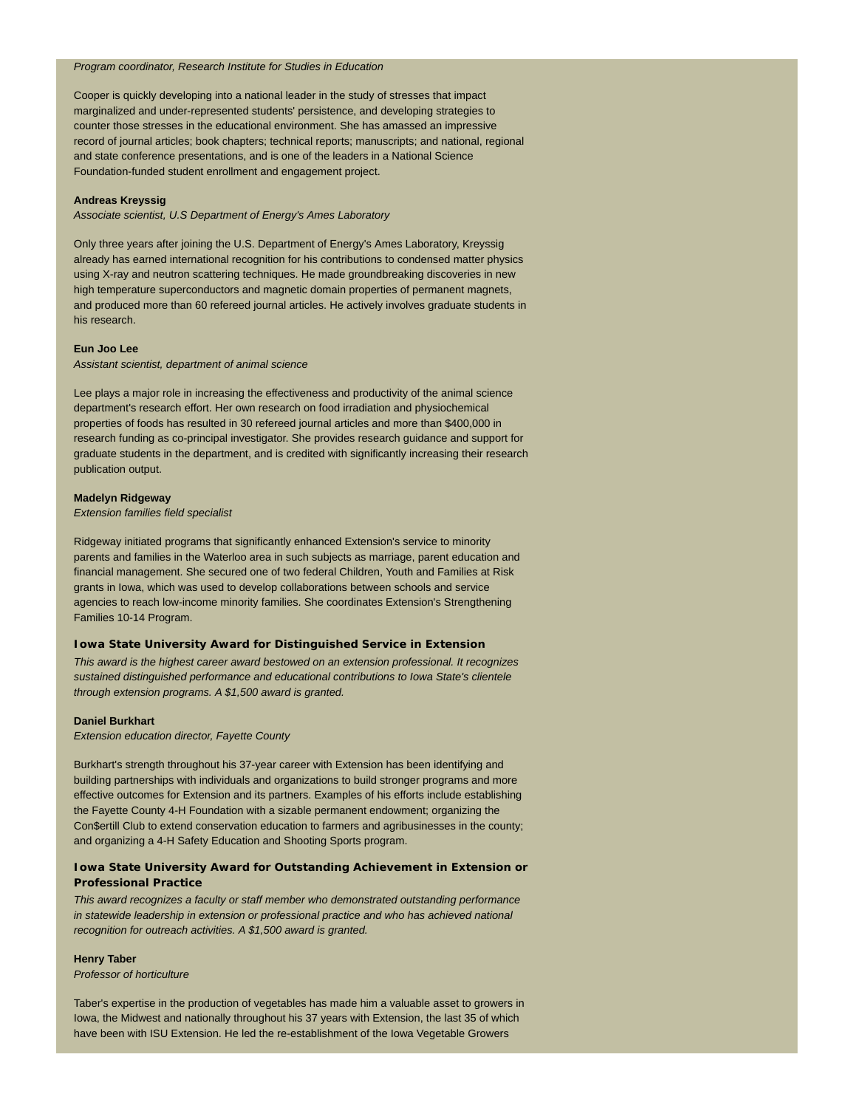#### *Program coordinator, Research Institute for Studies in Education*

Cooper is quickly developing into a national leader in the study of stresses that impact marginalized and under-represented students' persistence, and developing strategies to counter those stresses in the educational environment. She has amassed an impressive record of journal articles; book chapters; technical reports; manuscripts; and national, regional and state conference presentations, and is one of the leaders in a National Science Foundation-funded student enrollment and engagement project.

#### **Andreas Kreyssig**

*Associate scientist, U.S Department of Energy's Ames Laboratory*

Only three years after joining the U.S. Department of Energy's Ames Laboratory, Kreyssig already has earned international recognition for his contributions to condensed matter physics using X-ray and neutron scattering techniques. He made groundbreaking discoveries in new high temperature superconductors and magnetic domain properties of permanent magnets, and produced more than 60 refereed journal articles. He actively involves graduate students in his research.

#### **Eun Joo Lee**

*Assistant scientist, department of animal science*

Lee plays a major role in increasing the effectiveness and productivity of the animal science department's research effort. Her own research on food irradiation and physiochemical properties of foods has resulted in 30 refereed journal articles and more than \$400,000 in research funding as co-principal investigator. She provides research guidance and support for graduate students in the department, and is credited with significantly increasing their research publication output.

#### **Madelyn Ridgeway**

#### *Extension families field specialist*

Ridgeway initiated programs that significantly enhanced Extension's service to minority parents and families in the Waterloo area in such subjects as marriage, parent education and financial management. She secured one of two federal Children, Youth and Families at Risk grants in Iowa, which was used to develop collaborations between schools and service agencies to reach low-income minority families. She coordinates Extension's Strengthening Families 10-14 Program.

#### **Iowa State University Award for Distinguished Service in Extension**

*This award is the highest career award bestowed on an extension professional. It recognizes sustained distinguished performance and educational contributions to Iowa State's clientele through extension programs. A \$1,500 award is granted.*

#### **Daniel Burkhart**

*Extension education director, Fayette County*

Burkhart's strength throughout his 37-year career with Extension has been identifying and building partnerships with individuals and organizations to build stronger programs and more effective outcomes for Extension and its partners. Examples of his efforts include establishing the Fayette County 4-H Foundation with a sizable permanent endowment; organizing the Con\$ertill Club to extend conservation education to farmers and agribusinesses in the county; and organizing a 4-H Safety Education and Shooting Sports program.

#### **Iowa State University Award for Outstanding Achievement in Extension or Professional Practice**

*This award recognizes a faculty or staff member who demonstrated outstanding performance in statewide leadership in extension or professional practice and who has achieved national recognition for outreach activities. A \$1,500 award is granted.*

#### **Henry Taber**

*Professor of horticulture*

Taber's expertise in the production of vegetables has made him a valuable asset to growers in Iowa, the Midwest and nationally throughout his 37 years with Extension, the last 35 of which have been with ISU Extension. He led the re-establishment of the Iowa Vegetable Growers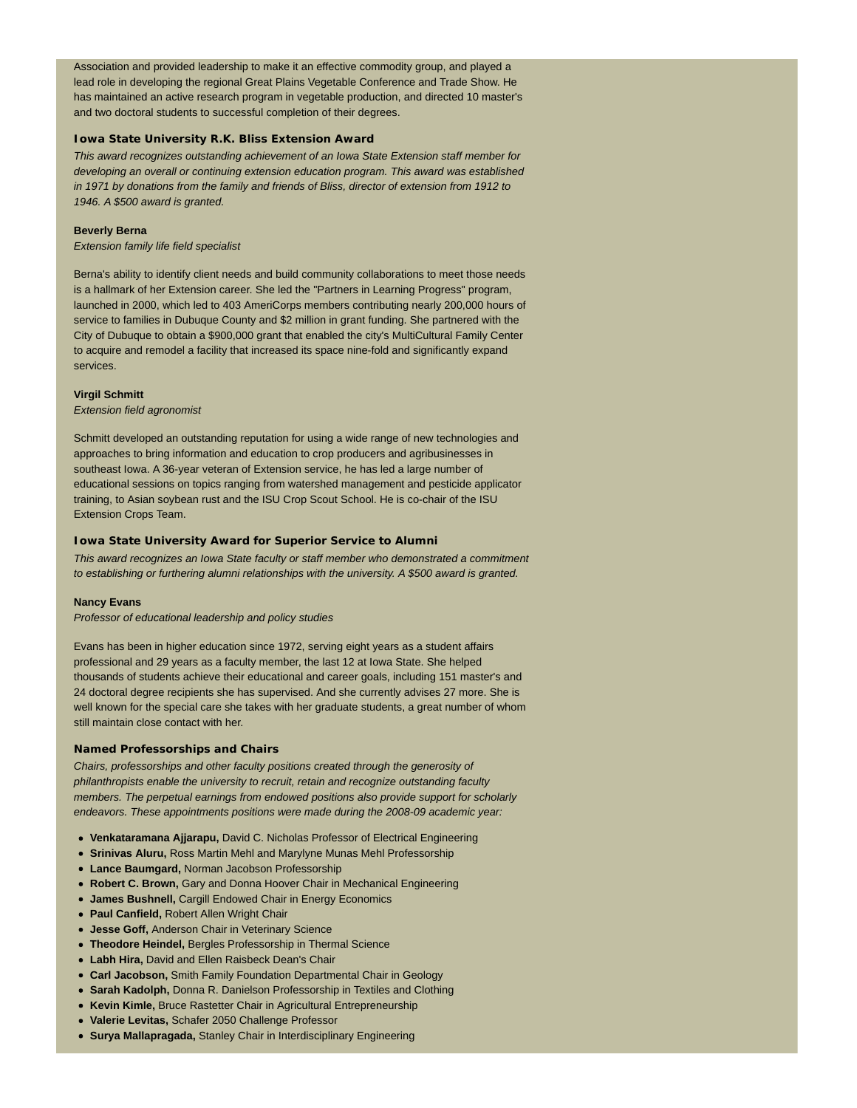Association and provided leadership to make it an effective commodity group, and played a lead role in developing the regional Great Plains Vegetable Conference and Trade Show. He has maintained an active research program in vegetable production, and directed 10 master's and two doctoral students to successful completion of their degrees.

#### **Iowa State University R.K. Bliss Extension Award**

*This award recognizes outstanding achievement of an Iowa State Extension staff member for developing an overall or continuing extension education program. This award was established in 1971 by donations from the family and friends of Bliss, director of extension from 1912 to 1946. A \$500 award is granted.*

#### **Beverly Berna**

*Extension family life field specialist*

Berna's ability to identify client needs and build community collaborations to meet those needs is a hallmark of her Extension career. She led the "Partners in Learning Progress" program, launched in 2000, which led to 403 AmeriCorps members contributing nearly 200,000 hours of service to families in Dubuque County and \$2 million in grant funding. She partnered with the City of Dubuque to obtain a \$900,000 grant that enabled the city's MultiCultural Family Center to acquire and remodel a facility that increased its space nine-fold and significantly expand services.

#### **Virgil Schmitt**

*Extension field agronomist*

Schmitt developed an outstanding reputation for using a wide range of new technologies and approaches to bring information and education to crop producers and agribusinesses in southeast Iowa. A 36-year veteran of Extension service, he has led a large number of educational sessions on topics ranging from watershed management and pesticide applicator training, to Asian soybean rust and the ISU Crop Scout School. He is co-chair of the ISU Extension Crops Team.

#### **Iowa State University Award for Superior Service to Alumni**

*This award recognizes an Iowa State faculty or staff member who demonstrated a commitment to establishing or furthering alumni relationships with the university. A \$500 award is granted.*

#### **Nancy Evans**

*Professor of educational leadership and policy studies*

Evans has been in higher education since 1972, serving eight years as a student affairs professional and 29 years as a faculty member, the last 12 at Iowa State. She helped thousands of students achieve their educational and career goals, including 151 master's and 24 doctoral degree recipients she has supervised. And she currently advises 27 more. She is well known for the special care she takes with her graduate students, a great number of whom still maintain close contact with her.

#### **Named Professorships and Chairs**

*Chairs, professorships and other faculty positions created through the generosity of philanthropists enable the university to recruit, retain and recognize outstanding faculty members. The perpetual earnings from endowed positions also provide support for scholarly endeavors. These appointments positions were made during the 2008-09 academic year:*

- **Venkataramana Ajjarapu,** David C. Nicholas Professor of Electrical Engineering
- **Srinivas Aluru,** Ross Martin Mehl and Marylyne Munas Mehl Professorship
- **Lance Baumgard,** Norman Jacobson Professorship
- **Robert C. Brown,** Gary and Donna Hoover Chair in Mechanical Engineering
- **James Bushnell,** Cargill Endowed Chair in Energy Economics
- **Paul Canfield,** Robert Allen Wright Chair
- **Jesse Goff,** Anderson Chair in Veterinary Science
- **Theodore Heindel,** Bergles Professorship in Thermal Science
- **Labh Hira,** David and Ellen Raisbeck Dean's Chair
- **Carl Jacobson,** Smith Family Foundation Departmental Chair in Geology
- **Sarah Kadolph,** Donna R. Danielson Professorship in Textiles and Clothing
- **Kevin Kimle,** Bruce Rastetter Chair in Agricultural Entrepreneurship
- **Valerie Levitas,** Schafer 2050 Challenge Professor
- **Surya Mallapragada,** Stanley Chair in Interdisciplinary Engineering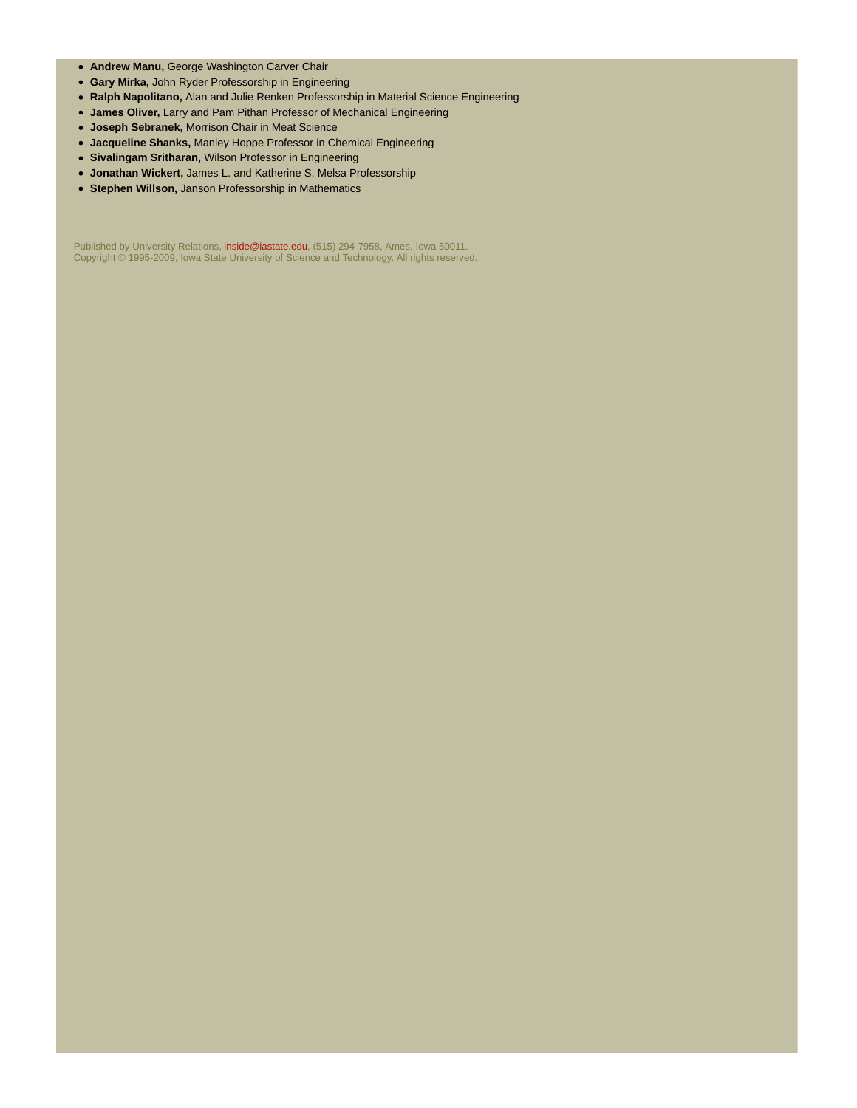- **Andrew Manu,** George Washington Carver Chair
- **Gary Mirka,** John Ryder Professorship in Engineering
- **Ralph Napolitano,** Alan and Julie Renken Professorship in Material Science Engineering
- **James Oliver,** Larry and Pam Pithan Professor of Mechanical Engineering
- **Joseph Sebranek,** Morrison Chair in Meat Science
- **Jacqueline Shanks,** Manley Hoppe Professor in Chemical Engineering
- **Sivalingam Sritharan,** Wilson Professor in Engineering
- **Jonathan Wickert,** James L. and Katherine S. Melsa Professorship
- **Stephen Willson,** Janson Professorship in Mathematics

Published by University Relations, inside@iastate.edu, (515) 294-7958, Ames, Iowa 50011. Copyright © 1995-2009, Iowa State University of Science and Technology. All rights reserved.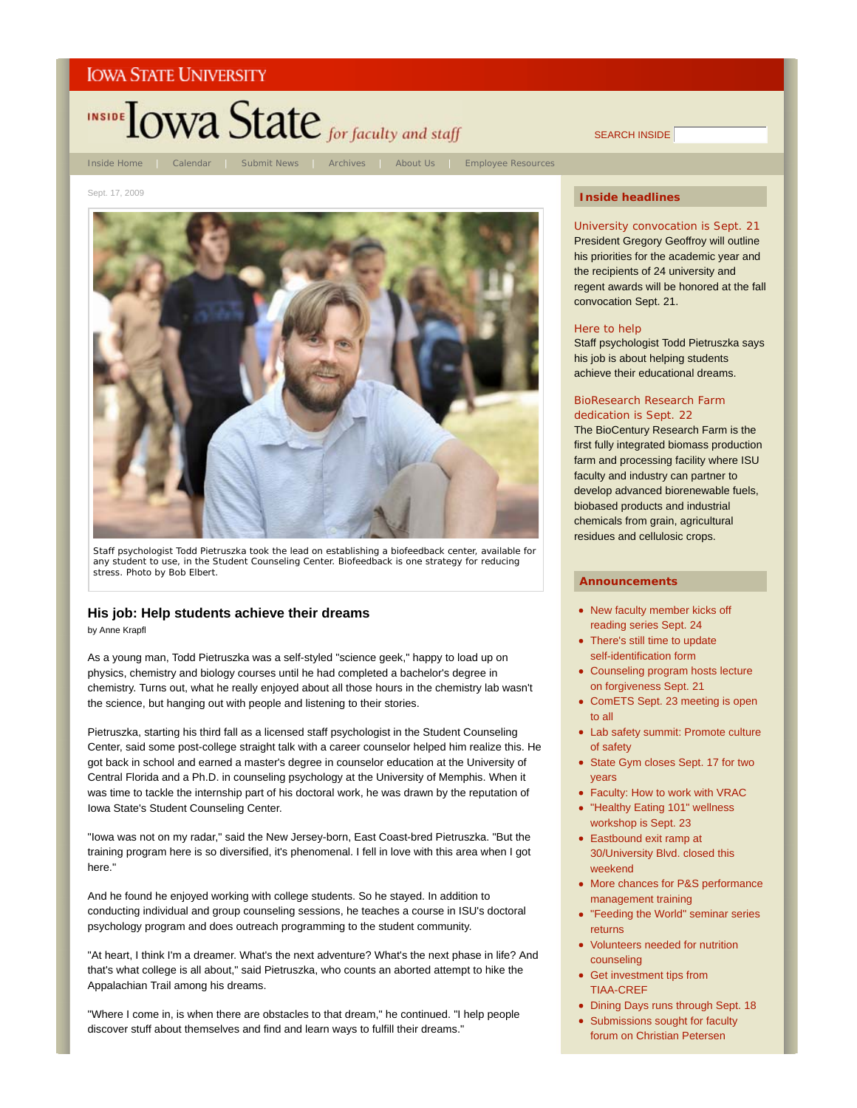

SEARCH INSIDE

Sept. 17, 2009



Staff psychologist Todd Pietruszka took the lead on establishing a biofeedback center, available for any student to use, in the Student Counseling Center. Biofeedback is one strategy for reducing stress. *Photo by Bob Elbert*.

#### **His job: Help students achieve their dreams**

by Anne Krapfl

As a young man, Todd Pietruszka was a self-styled "science geek," happy to load up on physics, chemistry and biology courses until he had completed a bachelor's degree in chemistry. Turns out, what he really enjoyed about all those hours in the chemistry lab wasn't the science, but hanging out with people and listening to their stories.

Pietruszka, starting his third fall as a licensed staff psychologist in the Student Counseling Center, said some post-college straight talk with a career counselor helped him realize this. He got back in school and earned a master's degree in counselor education at the University of Central Florida and a Ph.D. in counseling psychology at the University of Memphis. When it was time to tackle the internship part of his doctoral work, he was drawn by the reputation of Iowa State's Student Counseling Center.

"Iowa was not on my radar," said the New Jersey-born, East Coast-bred Pietruszka. "But the training program here is so diversified, it's phenomenal. I fell in love with this area when I got here."

And he found he enjoyed working with college students. So he stayed. In addition to conducting individual and group counseling sessions, he teaches a course in ISU's doctoral psychology program and does outreach programming to the student community.

"At heart, I think I'm a dreamer. What's the next adventure? What's the next phase in life? And that's what college is all about," said Pietruszka, who counts an aborted attempt to hike the Appalachian Trail among his dreams.

"Where I come in, is when there are obstacles to that dream," he continued. "I help people discover stuff about themselves and find and learn ways to fulfill their dreams."

#### **Inside headlines**

University convocation is Sept. 21 President Gregory Geoffroy will outline his priorities for the academic year and the recipients of 24 university and regent awards will be honored at the fall convocation Sept. 21.

#### Here to help

Staff psychologist Todd Pietruszka says his job is about helping students achieve their educational dreams.

#### BioResearch Research Farm dedication is Sept. 22

The BioCentury Research Farm is the first fully integrated biomass production farm and processing facility where ISU faculty and industry can partner to develop advanced biorenewable fuels, biobased products and industrial chemicals from grain, agricultural residues and cellulosic crops.

- New faculty member kicks off reading series Sept. 24
- There's still time to update self-identification form
- Counseling program hosts lecture on forgiveness Sept. 21
- ComETS Sept. 23 meeting is open to all
- Lab safety summit: Promote culture of safety
- State Gym closes Sept. 17 for two years
- Faculty: How to work with VRAC
- "Healthy Eating 101" wellness workshop is Sept. 23
- Eastbound exit ramp at 30/University Blvd. closed this weekend
- More chances for P&S performance management training
- "Feeding the World" seminar series returns
- Volunteers needed for nutrition counseling
- Get investment tips from TIAA-CREF
- Dining Days runs through Sept. 18
- Submissions sought for faculty forum on Christian Petersen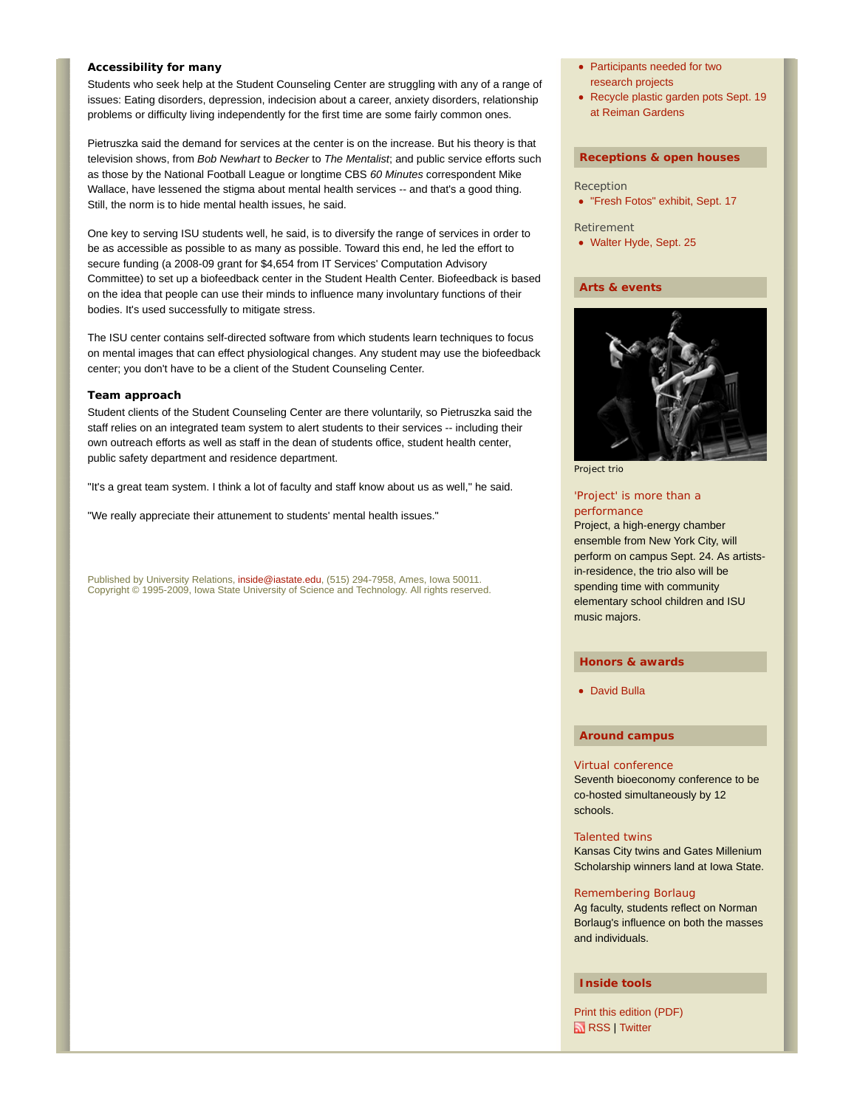#### **Accessibility for many**

Students who seek help at the Student Counseling Center are struggling with any of a range of issues: Eating disorders, depression, indecision about a career, anxiety disorders, relationship problems or difficulty living independently for the first time are some fairly common ones.

Pietruszka said the demand for services at the center is on the increase. But his theory is that television shows, from *Bob Newhart* to *Becker* to *The Mentalist*; and public service efforts such as those by the National Football League or longtime CBS *60 Minutes* correspondent Mike Wallace, have lessened the stigma about mental health services -- and that's a good thing. Still, the norm is to hide mental health issues, he said.

One key to serving ISU students well, he said, is to diversify the range of services in order to be as accessible as possible to as many as possible. Toward this end, he led the effort to secure funding (a 2008-09 grant for \$4,654 from IT Services' Computation Advisory Committee) to set up a biofeedback center in the Student Health Center. Biofeedback is based on the idea that people can use their minds to influence many involuntary functions of their bodies. It's used successfully to mitigate stress.

The ISU center contains self-directed software from which students learn techniques to focus on mental images that can effect physiological changes. Any student may use the biofeedback center; you don't have to be a client of the Student Counseling Center.

#### **Team approach**

Student clients of the Student Counseling Center are there voluntarily, so Pietruszka said the staff relies on an integrated team system to alert students to their services -- including their own outreach efforts as well as staff in the dean of students office, student health center, public safety department and residence department.

"It's a great team system. I think a lot of faculty and staff know about us as well," he said.

"We really appreciate their attunement to students' mental health issues."

Published by University Relations, inside@iastate.edu, (515) 294-7958, Ames, Iowa 50011. Copyright © 1995-2009, Iowa State University of Science and Technology. All rights reserved.

- Participants needed for two research projects
- Recycle plastic garden pots Sept. 19 at Reiman Gardens

#### **Receptions & open houses**

- Reception
- "Fresh Fotos" exhibit, Sept. 17
- Retirement
- Walter Hyde, Sept. 25

#### **Arts & events**



Project trio

#### 'Project' is more than a performance

Project, a high-energy chamber ensemble from New York City, will perform on campus Sept. 24. As artistsin-residence, the trio also will be spending time with community elementary school children and ISU music majors.

#### **Honors & awards**

David Bulla

#### **Around campus**

#### Virtual conference

Seventh bioeconomy conference to be co-hosted simultaneously by 12 schools.

#### Talented twins

Kansas City twins and Gates Millenium Scholarship winners land at Iowa State.

#### Remembering Borlaug

Ag faculty, students reflect on Norman Borlaug's influence on both the masses and individuals.

#### **Inside tools**

Print this edition (PDF) **RSS** | Twitter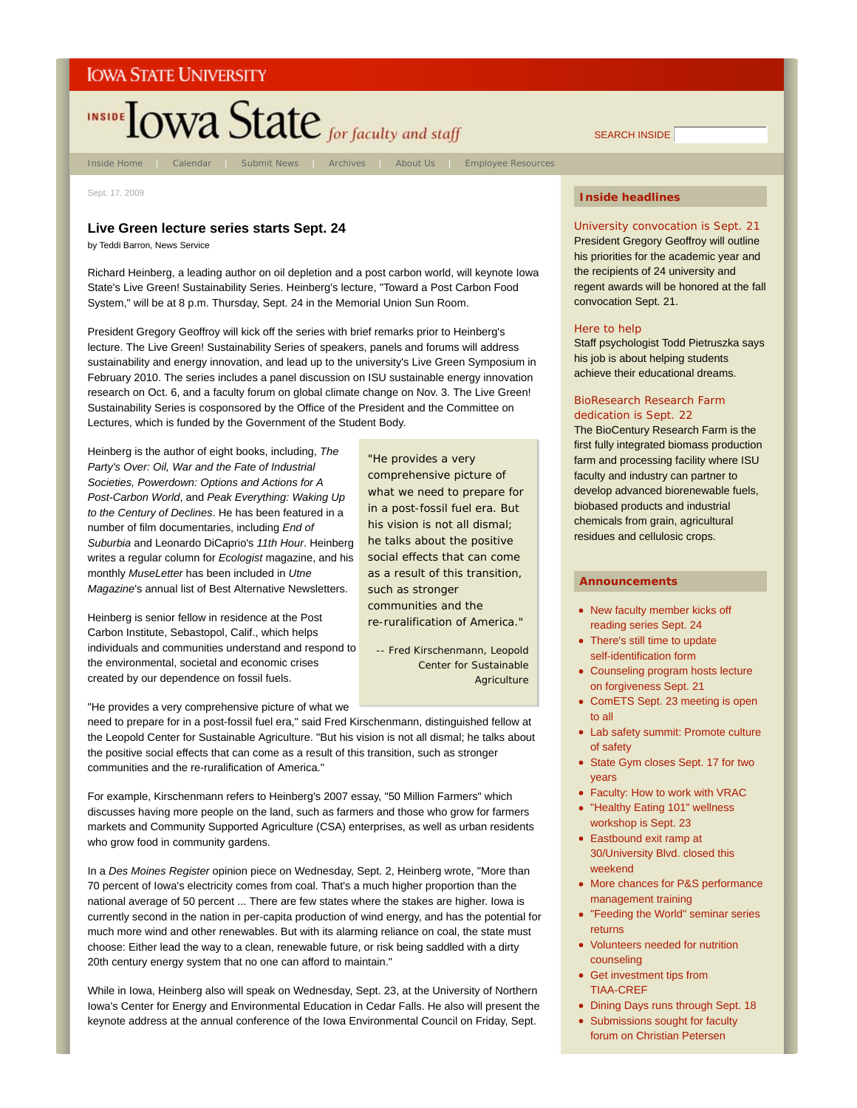

Inside Home | Calendar | Submit News | Archives | About Us | Employee Resources

"He provides a very comprehensive picture of what we need to prepare for in a post-fossil fuel era. But his vision is not all dismal; he talks about the positive social effects that can come as a result of this transition,

such as stronger communities and the re-ruralification of America."

-- Fred Kirschenmann, Leopold Center for Sustainable

**Agriculture** 

Sept. 17, 2009

#### **Live Green lecture series starts Sept. 24**

by Teddi Barron, News Service

Richard Heinberg, a leading author on oil depletion and a post carbon world, will keynote Iowa State's Live Green! Sustainability Series. Heinberg's lecture, "Toward a Post Carbon Food System," will be at 8 p.m. Thursday, Sept. 24 in the Memorial Union Sun Room.

President Gregory Geoffroy will kick off the series with brief remarks prior to Heinberg's lecture. The Live Green! Sustainability Series of speakers, panels and forums will address sustainability and energy innovation, and lead up to the university's Live Green Symposium in February 2010. The series includes a panel discussion on ISU sustainable energy innovation research on Oct. 6, and a faculty forum on global climate change on Nov. 3. The Live Green! Sustainability Series is cosponsored by the Office of the President and the Committee on Lectures, which is funded by the Government of the Student Body.

Heinberg is the author of eight books, including, *The Party's Over: Oil, War and the Fate of Industrial Societies, Powerdown: Options and Actions for A Post-Carbon World*, and *Peak Everything: Waking Up to the Century of Declines*. He has been featured in a number of film documentaries, including *End of Suburbia* and Leonardo DiCaprio's *11th Hour*. Heinberg writes a regular column for *Ecologist* magazine, and his monthly *MuseLetter* has been included in *Utne Magazine*'s annual list of Best Alternative Newsletters.

Heinberg is senior fellow in residence at the Post Carbon Institute, Sebastopol, Calif., which helps individuals and communities understand and respond to the environmental, societal and economic crises created by our dependence on fossil fuels.

"He provides a very comprehensive picture of what we

need to prepare for in a post-fossil fuel era," said Fred Kirschenmann, distinguished fellow at the Leopold Center for Sustainable Agriculture. "But his vision is not all dismal; he talks about the positive social effects that can come as a result of this transition, such as stronger communities and the re-ruralification of America."

For example, Kirschenmann refers to Heinberg's 2007 essay, "50 Million Farmers" which discusses having more people on the land, such as farmers and those who grow for farmers markets and Community Supported Agriculture (CSA) enterprises, as well as urban residents who grow food in community gardens.

In a *Des Moines Register* opinion piece on Wednesday, Sept. 2, Heinberg wrote, "More than 70 percent of Iowa's electricity comes from coal. That's a much higher proportion than the national average of 50 percent ... There are few states where the stakes are higher. Iowa is currently second in the nation in per-capita production of wind energy, and has the potential for much more wind and other renewables. But with its alarming reliance on coal, the state must choose: Either lead the way to a clean, renewable future, or risk being saddled with a dirty 20th century energy system that no one can afford to maintain."

While in Iowa, Heinberg also will speak on Wednesday, Sept. 23, at the University of Northern Iowa's Center for Energy and Environmental Education in Cedar Falls. He also will present the keynote address at the annual conference of the Iowa Environmental Council on Friday, Sept.

#### **Inside headlines**

SEARCH INSIDE

University convocation is Sept. 21 President Gregory Geoffroy will outline his priorities for the academic year and the recipients of 24 university and regent awards will be honored at the fall convocation Sept. 21.

#### Here to help

Staff psychologist Todd Pietruszka says his job is about helping students achieve their educational dreams.

#### BioResearch Research Farm dedication is Sept. 22

The BioCentury Research Farm is the first fully integrated biomass production farm and processing facility where ISU faculty and industry can partner to develop advanced biorenewable fuels, biobased products and industrial chemicals from grain, agricultural residues and cellulosic crops.

- New faculty member kicks off reading series Sept. 24
- There's still time to update self-identification form
- Counseling program hosts lecture on forgiveness Sept. 21
- ComETS Sept. 23 meeting is open to all
- Lab safety summit: Promote culture of safety
- State Gym closes Sept. 17 for two years
- Faculty: How to work with VRAC
- "Healthy Eating 101" wellness workshop is Sept. 23
- Eastbound exit ramp at 30/University Blvd. closed this weekend
- More chances for P&S performance management training
- "Feeding the World" seminar series returns
- Volunteers needed for nutrition counseling
- Get investment tips from TIAA-CREF
- Dining Days runs through Sept. 18
- Submissions sought for faculty forum on Christian Petersen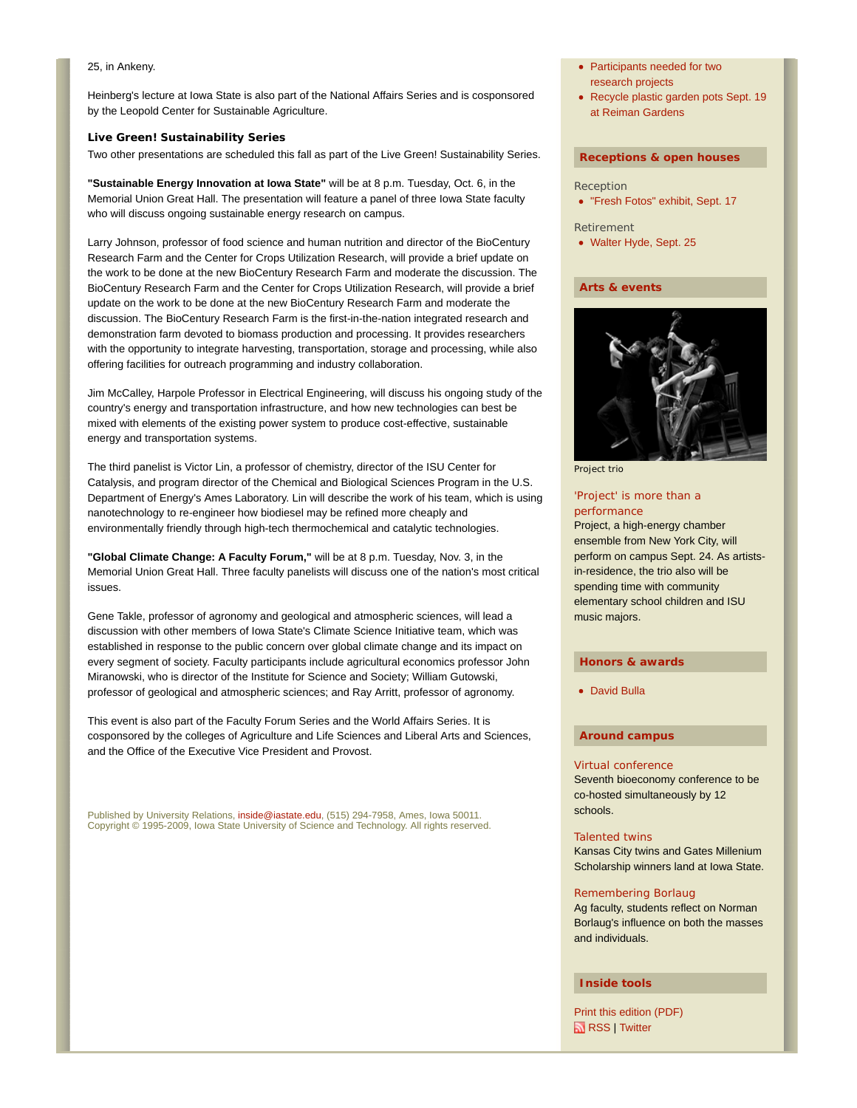#### 25, in Ankeny.

Heinberg's lecture at Iowa State is also part of the National Affairs Series and is cosponsored by the Leopold Center for Sustainable Agriculture.

#### **Live Green! Sustainability Series**

Two other presentations are scheduled this fall as part of the Live Green! Sustainability Series.

**"Sustainable Energy Innovation at Iowa State"** will be at 8 p.m. Tuesday, Oct. 6, in the Memorial Union Great Hall. The presentation will feature a panel of three Iowa State faculty who will discuss ongoing sustainable energy research on campus.

Larry Johnson, professor of food science and human nutrition and director of the BioCentury Research Farm and the Center for Crops Utilization Research, will provide a brief update on the work to be done at the new BioCentury Research Farm and moderate the discussion. The BioCentury Research Farm and the Center for Crops Utilization Research, will provide a brief update on the work to be done at the new BioCentury Research Farm and moderate the discussion. The BioCentury Research Farm is the first-in-the-nation integrated research and demonstration farm devoted to biomass production and processing. It provides researchers with the opportunity to integrate harvesting, transportation, storage and processing, while also offering facilities for outreach programming and industry collaboration.

Jim McCalley, Harpole Professor in Electrical Engineering, will discuss his ongoing study of the country's energy and transportation infrastructure, and how new technologies can best be mixed with elements of the existing power system to produce cost-effective, sustainable energy and transportation systems.

The third panelist is Victor Lin, a professor of chemistry, director of the ISU Center for Catalysis, and program director of the Chemical and Biological Sciences Program in the U.S. Department of Energy's Ames Laboratory. Lin will describe the work of his team, which is using nanotechnology to re-engineer how biodiesel may be refined more cheaply and environmentally friendly through high-tech thermochemical and catalytic technologies.

**"Global Climate Change: A Faculty Forum,"** will be at 8 p.m. Tuesday, Nov. 3, in the Memorial Union Great Hall. Three faculty panelists will discuss one of the nation's most critical issues.

Gene Takle, professor of agronomy and geological and atmospheric sciences, will lead a discussion with other members of Iowa State's Climate Science Initiative team, which was established in response to the public concern over global climate change and its impact on every segment of society. Faculty participants include agricultural economics professor John Miranowski, who is director of the Institute for Science and Society; William Gutowski, professor of geological and atmospheric sciences; and Ray Arritt, professor of agronomy.

This event is also part of the Faculty Forum Series and the World Affairs Series. It is cosponsored by the colleges of Agriculture and Life Sciences and Liberal Arts and Sciences, and the Office of the Executive Vice President and Provost.

Published by University Relations, inside@iastate.edu, (515) 294-7958, Ames, Iowa 50011. Copyright © 1995-2009, Iowa State University of Science and Technology. All rights reserved.

- Participants needed for two research projects
- Recycle plastic garden pots Sept. 19 at Reiman Gardens

#### **Receptions & open houses**

#### Reception

- "Fresh Fotos" exhibit, Sept. 17
- Retirement
- Walter Hyde, Sept. 25

#### **Arts & events**



Project trio

#### 'Project' is more than a performance

Project, a high-energy chamber ensemble from New York City, will perform on campus Sept. 24. As artistsin-residence, the trio also will be spending time with community elementary school children and ISU music majors.

#### **Honors & awards**

David Bulla

#### **Around campus**

#### Virtual conference

Seventh bioeconomy conference to be co-hosted simultaneously by 12 schools.

#### Talented twins

Kansas City twins and Gates Millenium Scholarship winners land at Iowa State.

#### Remembering Borlaug

Ag faculty, students reflect on Norman Borlaug's influence on both the masses and individuals.

#### **Inside tools**

Print this edition (PDF) **RSS** | Twitter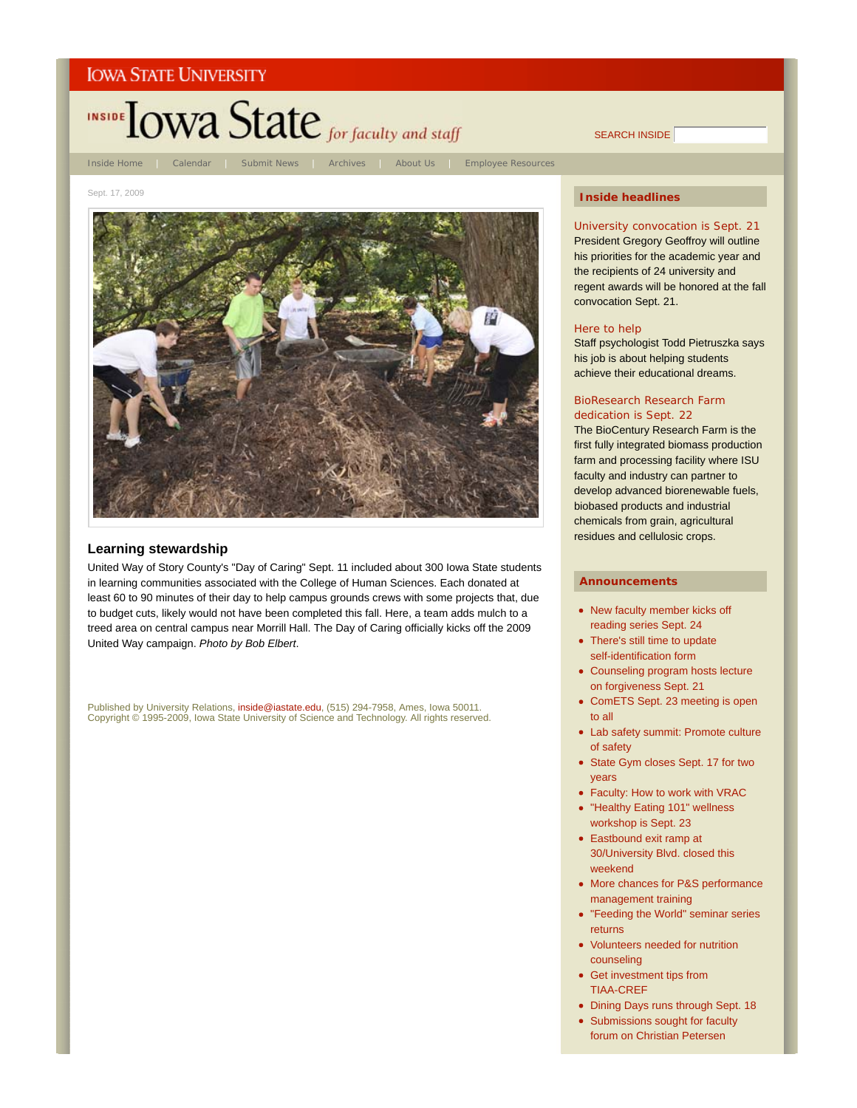

SEARCH INSIDE

#### Sept. 17, 2009



#### **Learning stewardship**

United Way of Story County's "Day of Caring" Sept. 11 included about 300 Iowa State students in learning communities associated with the College of Human Sciences. Each donated at least 60 to 90 minutes of their day to help campus grounds crews with some projects that, due to budget cuts, likely would not have been completed this fall. Here, a team adds mulch to a treed area on central campus near Morrill Hall. The Day of Caring officially kicks off the 2009 United Way campaign. *Photo by Bob Elbert*.

Published by University Relations, inside@iastate.edu, (515) 294-7958, Ames, Iowa 50011. Copyright © 1995-2009, Iowa State University of Science and Technology. All rights reserved.

#### **Inside headlines**

University convocation is Sept. 21 President Gregory Geoffroy will outline his priorities for the academic year and the recipients of 24 university and regent awards will be honored at the fall convocation Sept. 21.

#### Here to help

Staff psychologist Todd Pietruszka says his job is about helping students achieve their educational dreams.

#### BioResearch Research Farm dedication is Sept. 22

The BioCentury Research Farm is the first fully integrated biomass production farm and processing facility where ISU faculty and industry can partner to develop advanced biorenewable fuels, biobased products and industrial chemicals from grain, agricultural residues and cellulosic crops.

- New faculty member kicks off reading series Sept. 24
- There's still time to update self-identification form
- Counseling program hosts lecture on forgiveness Sept. 21
- ComETS Sept. 23 meeting is open to all
- Lab safety summit: Promote culture of safety
- State Gym closes Sept. 17 for two years
- Faculty: How to work with VRAC
- "Healthy Eating 101" wellness workshop is Sept. 23
- Eastbound exit ramp at 30/University Blvd. closed this weekend
- More chances for P&S performance management training
- "Feeding the World" seminar series returns
- Volunteers needed for nutrition counseling
- Get investment tips from TIAA-CREF
- Dining Days runs through Sept. 18
- Submissions sought for faculty forum on Christian Petersen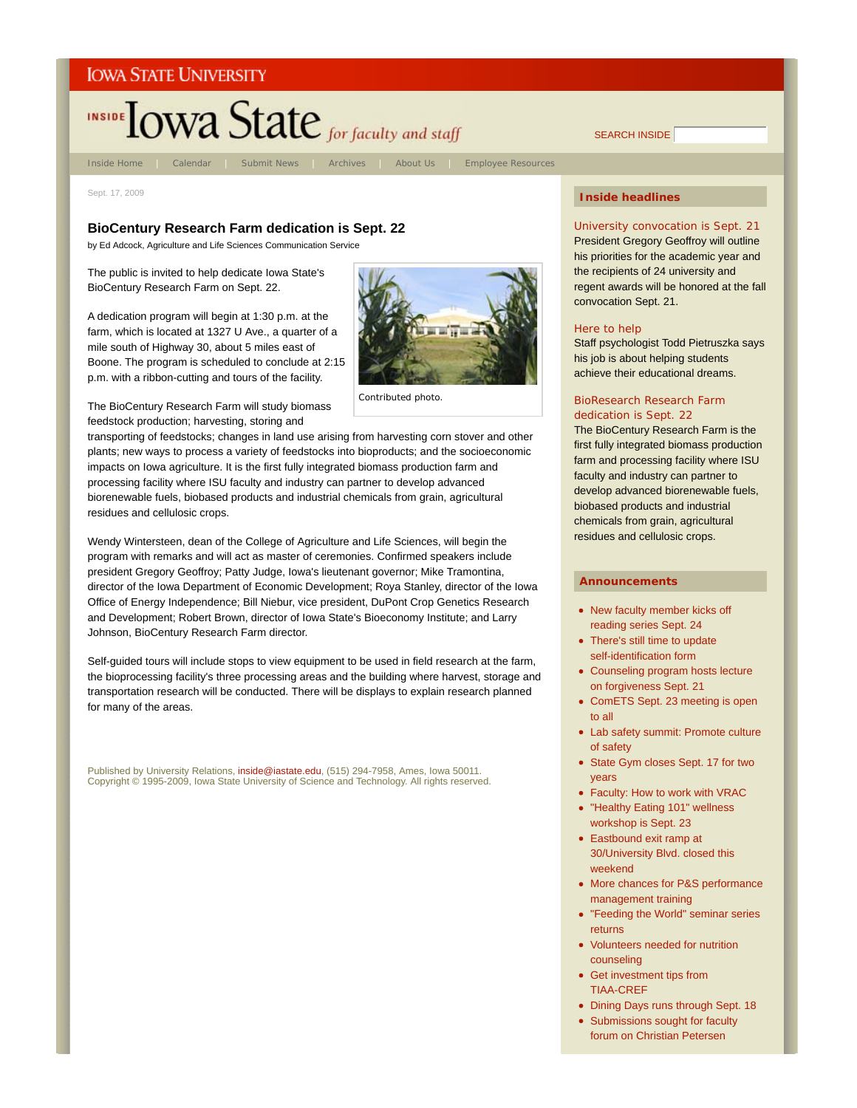# INSIDE TOWA State for faculty and staff

Inside Home | Calendar | Submit News | Archives | About Us | Employee Resources

Sept. 17, 2009

#### **BioCentury Research Farm dedication is Sept. 22**

by Ed Adcock, Agriculture and Life Sciences Communication Service

The public is invited to help dedicate Iowa State's BioCentury Research Farm on Sept. 22.

A dedication program will begin at 1:30 p.m. at the farm, which is located at 1327 U Ave., a quarter of a mile south of Highway 30, about 5 miles east of Boone. The program is scheduled to conclude at 2:15 p.m. with a ribbon-cutting and tours of the facility.



*Contributed photo*.

The BioCentury Research Farm will study biomass feedstock production; harvesting, storing and

transporting of feedstocks; changes in land use arising from harvesting corn stover and other plants; new ways to process a variety of feedstocks into bioproducts; and the socioeconomic impacts on Iowa agriculture. It is the first fully integrated biomass production farm and processing facility where ISU faculty and industry can partner to develop advanced biorenewable fuels, biobased products and industrial chemicals from grain, agricultural residues and cellulosic crops.

Wendy Wintersteen, dean of the College of Agriculture and Life Sciences, will begin the program with remarks and will act as master of ceremonies. Confirmed speakers include president Gregory Geoffroy; Patty Judge, Iowa's lieutenant governor; Mike Tramontina, director of the Iowa Department of Economic Development; Roya Stanley, director of the Iowa Office of Energy Independence; Bill Niebur, vice president, DuPont Crop Genetics Research and Development; Robert Brown, director of Iowa State's Bioeconomy Institute; and Larry Johnson, BioCentury Research Farm director.

Self-guided tours will include stops to view equipment to be used in field research at the farm, the bioprocessing facility's three processing areas and the building where harvest, storage and transportation research will be conducted. There will be displays to explain research planned for many of the areas.

Published by University Relations, inside@iastate.edu, (515) 294-7958, Ames, Iowa 50011. Copyright © 1995-2009, Iowa State University of Science and Technology. All rights reserved.

### **Inside headlines**

SEARCH INSIDE

University convocation is Sept. 21 President Gregory Geoffroy will outline his priorities for the academic year and the recipients of 24 university and regent awards will be honored at the fall convocation Sept. 21.

#### Here to help

Staff psychologist Todd Pietruszka says his job is about helping students achieve their educational dreams.

#### BioResearch Research Farm dedication is Sept. 22

The BioCentury Research Farm is the first fully integrated biomass production farm and processing facility where ISU faculty and industry can partner to develop advanced biorenewable fuels, biobased products and industrial chemicals from grain, agricultural residues and cellulosic crops.

- New faculty member kicks off reading series Sept. 24
- There's still time to update self-identification form
- Counseling program hosts lecture on forgiveness Sept. 21
- ComETS Sept. 23 meeting is open to all
- Lab safety summit: Promote culture of safety
- State Gym closes Sept. 17 for two years
- Faculty: How to work with VRAC
- "Healthy Eating 101" wellness workshop is Sept. 23
- Eastbound exit ramp at 30/University Blvd. closed this weekend
- More chances for P&S performance management training
- "Feeding the World" seminar series returns
- Volunteers needed for nutrition counseling
- Get investment tips from TIAA-CREF
- Dining Days runs through Sept. 18
- Submissions sought for faculty forum on Christian Petersen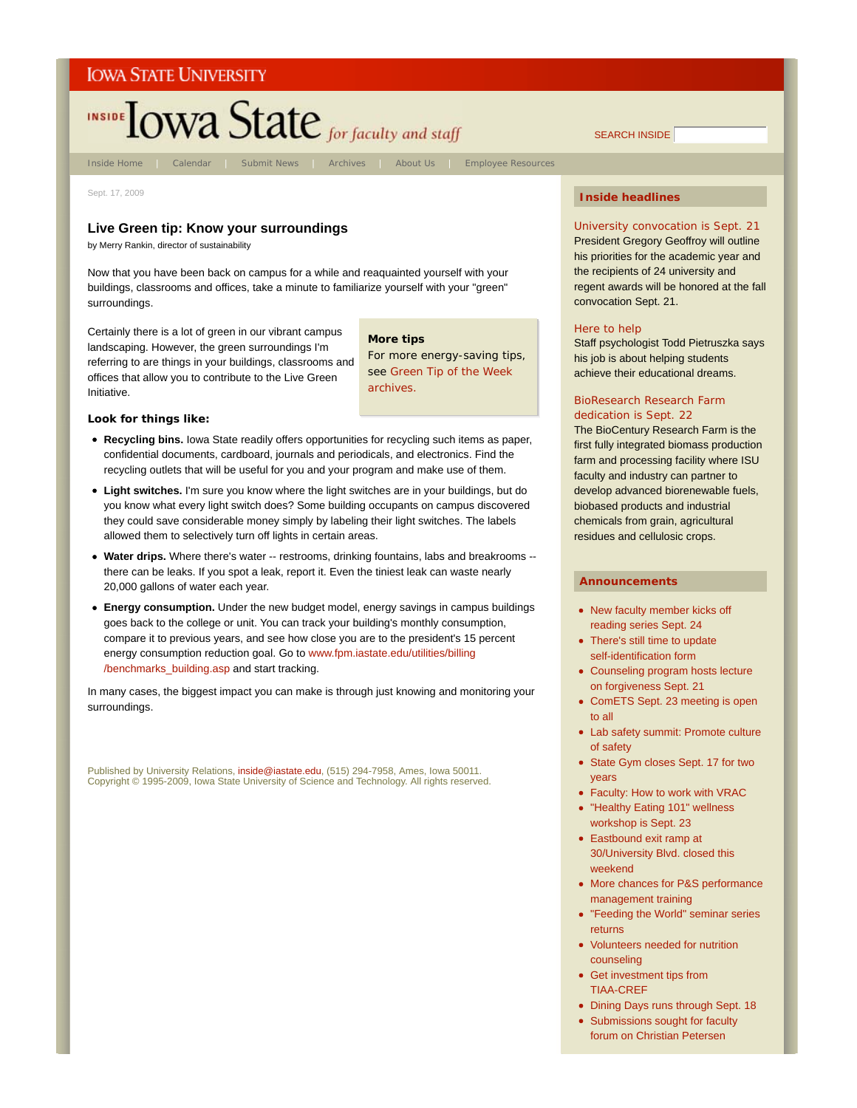# INSIDE TOWA State for faculty and staff

Inside Home | Calendar | Submit News | Archives | About Us | Employee Resources

Sept. 17, 2009

#### **Live Green tip: Know your surroundings**

by Merry Rankin, director of sustainability

Now that you have been back on campus for a while and reaquainted yourself with your buildings, classrooms and offices, take a minute to familiarize yourself with your "green" surroundings.

Certainly there is a lot of green in our vibrant campus landscaping. However, the green surroundings I'm referring to are things in your buildings, classrooms and offices that allow you to contribute to the Live Green Initiative.

**More tips**

For more energy-saving tips, see Green Tip of the Week archives.

#### **Look for things like:**

- **Recycling bins.** Iowa State readily offers opportunities for recycling such items as paper, confidential documents, cardboard, journals and periodicals, and electronics. Find the recycling outlets that will be useful for you and your program and make use of them.
- **Light switches.** I'm sure you know where the light switches are in your buildings, but do you know what every light switch does? Some building occupants on campus discovered they could save considerable money simply by labeling their light switches. The labels allowed them to selectively turn off lights in certain areas.
- **Water drips.** Where there's water -- restrooms, drinking fountains, labs and breakrooms there can be leaks. If you spot a leak, report it. Even the tiniest leak can waste nearly 20,000 gallons of water each year.
- **Energy consumption.** Under the new budget model, energy savings in campus buildings goes back to the college or unit. You can track your building's monthly consumption, compare it to previous years, and see how close you are to the president's 15 percent energy consumption reduction goal. Go to www.fpm.iastate.edu/utilities/billing /benchmarks\_building.asp and start tracking.

In many cases, the biggest impact you can make is through just knowing and monitoring your surroundings.

Published by University Relations, inside@iastate.edu, (515) 294-7958, Ames, Iowa 50011. Copyright © 1995-2009, Iowa State University of Science and Technology. All rights reserved.

#### **Inside headlines**

SEARCH INSIDE

University convocation is Sept. 21 President Gregory Geoffroy will outline his priorities for the academic year and the recipients of 24 university and regent awards will be honored at the fall convocation Sept. 21.

#### Here to help

Staff psychologist Todd Pietruszka says his job is about helping students achieve their educational dreams.

#### BioResearch Research Farm dedication is Sept. 22

The BioCentury Research Farm is the first fully integrated biomass production farm and processing facility where ISU faculty and industry can partner to develop advanced biorenewable fuels, biobased products and industrial chemicals from grain, agricultural residues and cellulosic crops.

- New faculty member kicks off reading series Sept. 24
- There's still time to update self-identification form
- Counseling program hosts lecture on forgiveness Sept. 21
- ComETS Sept. 23 meeting is open to all
- Lab safety summit: Promote culture of safety
- State Gym closes Sept. 17 for two years
- Faculty: How to work with VRAC
- "Healthy Eating 101" wellness workshop is Sept. 23
- Eastbound exit ramp at 30/University Blvd. closed this weekend
- More chances for P&S performance management training
- "Feeding the World" seminar series returns
- Volunteers needed for nutrition counseling
- Get investment tips from TIAA-CREF
- Dining Days runs through Sept. 18
- Submissions sought for faculty forum on Christian Petersen